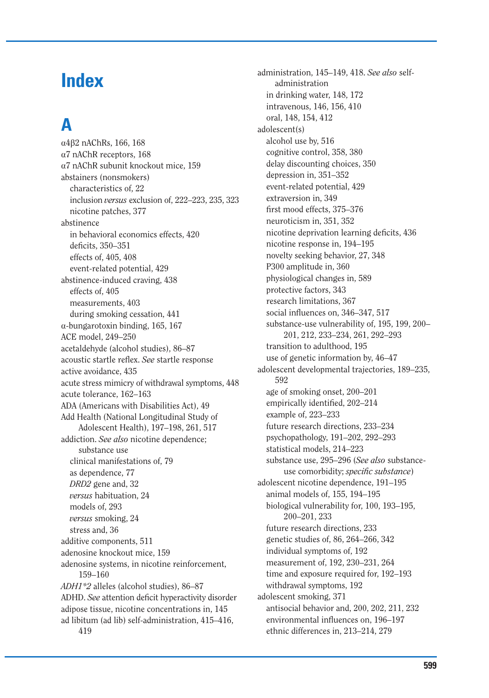# **Index**

# **A**

 $\alpha$ 4 $\beta$ 2 nAChRs, 166, 168 a7 nAChR receptors, 168 a7 nAChR subunit knockout mice, 159 abstainers (nonsmokers) characteristics of, 22 inclusion *versus* exclusion of, 222–223, 235, 323 nicotine patches, 377 abstinence in behavioral economics effects, 420 deficits, 350-351 effects of, 405, 408 event-related potential, 429 abstinence-induced craving, 438 effects of, 405 measurements, 403 during smoking cessation, 441  $\alpha$ -bungarotoxin binding, 165, 167 ACE model, 249–250 acetaldehyde (alcohol studies), 86–87 acoustic startle reflex. See startle response active avoidance, 435 acute stress mimicry of withdrawal symptoms, 448 acute tolerance, 162–163 ADA (Americans with Disabilities Act), 49 Add Health (National Longitudinal Study of Adolescent Health), 197–198, 261, 517 addiction. *See also* nicotine dependence; substance use clinical manifestations of, 79 as dependence, 77 *DRD2* gene and, 32 *versus* habituation, 24 models of, 293 *versus* smoking, 24 stress and, 36 additive components, 511 adenosine knockout mice, 159 adenosine systems, in nicotine reinforcement, 159–160 *ADH1\*2* alleles (alcohol studies), 86–87 ADHD. *See* attention deficit hyperactivity disorder adipose tissue, nicotine concentrations in, 145 ad libitum (ad lib) self-administration, 415–416, 419

administration, 145–149, 418. *See also* selfadministration in drinking water, 148, 172 intravenous, 146, 156, 410 oral, 148, 154, 412 adolescent(s) alcohol use by, 516 cognitive control, 358, 380 delay discounting choices, 350 depression in, 351–352 event-related potential, 429 extraversion in, 349 first mood effects, 375–376 neuroticism in, 351, 352 nicotine deprivation learning deficits, 436 nicotine response in, 194–195 novelty seeking behavior, 27, 348 P300 amplitude in, 360 physiological changes in, 589 protective factors, 343 research limitations, 367 social influences on, 346–347, 517 substance-use vulnerability of, 195, 199, 200– 201, 212, 233–234, 261, 292–293 transition to adulthood, 195 use of genetic information by, 46–47 adolescent developmental trajectories, 189–235, 592 age of smoking onset, 200–201 empirically identified, 202-214 example of, 223–233 future research directions, 233–234 psychopathology, 191–202, 292–293 statistical models, 214–223 substance use, 295–296 (*See also* substance use comorbidity; *specific substance*) adolescent nicotine dependence, 191–195 animal models of, 155, 194–195 biological vulnerability for, 100, 193–195, 200–201, 233 future research directions, 233 genetic studies of, 86, 264–266, 342 individual symptoms of, 192 measurement of, 192, 230–231, 264 time and exposure required for, 192–193 withdrawal symptoms, 192 adolescent smoking, 371 antisocial behavior and, 200, 202, 211, 232 environmental influences on, 196–197 ethnic differences in, 213–214, 279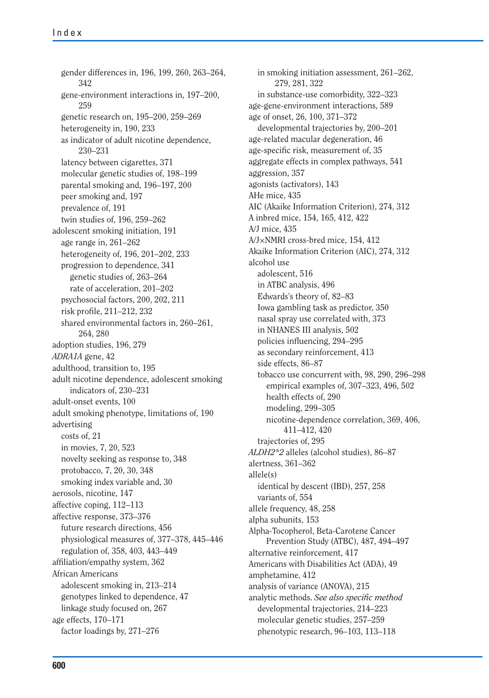gender differences in, 196, 199, 260, 263–264, 342 gene-environment interactions in, 197–200, 259 genetic research on, 195–200, 259–269 heterogeneity in, 190, 233 as indicator of adult nicotine dependence, 230–231 latency between cigarettes, 371 molecular genetic studies of, 198–199 parental smoking and, 196–197, 200 peer smoking and, 197 prevalence of, 191 twin studies of, 196, 259–262 adolescent smoking initiation, 191 age range in, 261–262 heterogeneity of, 196, 201–202, 233 progression to dependence, 341 genetic studies of, 263–264 rate of acceleration, 201–202 psychosocial factors, 200, 202, 211 risk profile, 211–212, 232 shared environmental factors in, 260–261, 264, 280 adoption studies, 196, 279 *ADRA1A* gene, 42 adulthood, transition to, 195 adult nicotine dependence, adolescent smoking indicators of, 230–231 adult-onset events, 100 adult smoking phenotype, limitations of, 190 advertising costs of, 21 in movies, 7, 20, 523 novelty seeking as response to, 348 protobacco, 7, 20, 30, 348 smoking index variable and, 30 aerosols, nicotine, 147 affective coping, 112–113 affective response, 373–376 future research directions, 456 physiological measures of, 377–378, 445–446 regulation of, 358, 403, 443–449 affiliation/empathy system, 362 African Americans adolescent smoking in, 213–214 genotypes linked to dependence, 47 linkage study focused on, 267 age effects, 170–171 factor loadings by, 271–276

in smoking initiation assessment, 261–262, 279, 281, 322 in substance-use comorbidity, 322–323 age-gene-environment interactions, 589 age of onset, 26, 100, 371–372 developmental trajectories by, 200–201 age-related macular degeneration, 46 age-specific risk, measurement of, 35 aggregate effects in complex pathways, 541 aggression, 357 agonists (activators), 143 AHe mice, 435 AIC (Akaike Information Criterion), 274, 312 A inbred mice, 154, 165, 412, 422 A/J mice, 435 A/J×NMRI cross-bred mice, 154, 412 Akaike Information Criterion (AIC), 274, 312 alcohol use adolescent, 516 in ATBC analysis, 496 Edwards's theory of, 82–83 Iowa gambling task as predictor, 350 nasal spray use correlated with, 373 in NHANES III analysis, 502 policies influencing, 294–295 as secondary reinforcement, 413 side effects, 86–87 tobacco use concurrent with, 98, 290, 296–298 empirical examples of, 307–323, 496, 502 health effects of, 290 modeling, 299–305 nicotine-dependence correlation, 369, 406, 411–412, 420 trajectories of, 295 *ALDH2\*2* alleles (alcohol studies), 86–87 alertness, 361–362 allele(s) identical by descent (IBD), 257, 258 variants of, 554 allele frequency, 48, 258 alpha subunits, 153 Alpha-Tocopherol, Beta-Carotene Cancer Prevention Study (ATBC), 487, 494–497 alternative reinforcement, 417 Americans with Disabilities Act (ADA), 49 amphetamine, 412 analysis of variance (ANOVA), 215 analytic methods. See also specific method developmental trajectories, 214–223 molecular genetic studies, 257–259 phenotypic research, 96–103, 113–118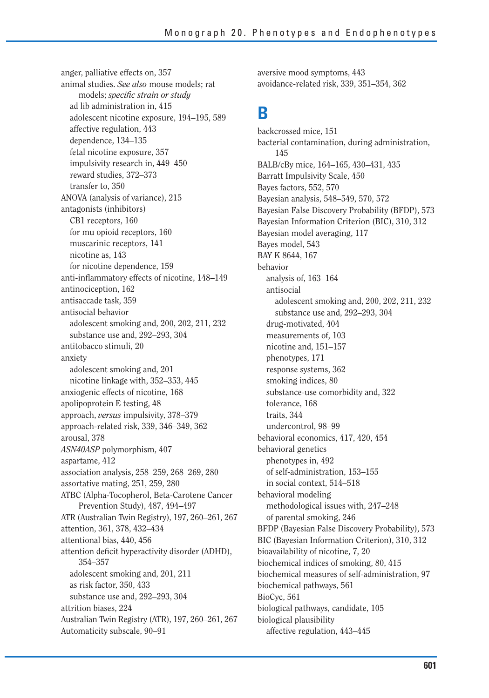anger, palliative effects on, 357 animal studies. *See also* mouse models; rat models; *specific strain or study* ad lib administration in, 415 adolescent nicotine exposure, 194–195, 589 affective regulation, 443 dependence, 134–135 fetal nicotine exposure, 357 impulsivity research in, 449–450 reward studies, 372–373 transfer to, 350 ANOVA (analysis of variance), 215 antagonists (inhibitors) CB1 receptors, 160 for mu opioid receptors, 160 muscarinic receptors, 141 nicotine as, 143 for nicotine dependence, 159 anti-inflammatory effects of nicotine, 148–149 antinociception, 162 antisaccade task, 359 antisocial behavior adolescent smoking and, 200, 202, 211, 232 substance use and, 292–293, 304 antitobacco stimuli, 20 anxiety adolescent smoking and, 201 nicotine linkage with, 352–353, 445 anxiogenic effects of nicotine, 168 apolipoprotein E testing, 48 approach, *versus* impulsivity, 378–379 approach-related risk, 339, 346–349, 362 arousal, 378 *ASN40ASP* polymorphism, 407 aspartame, 412 association analysis, 258–259, 268–269, 280 assortative mating, 251, 259, 280 ATBC (Alpha-Tocopherol, Beta-Carotene Cancer Prevention Study), 487, 494–497 ATR (Australian Twin Registry), 197, 260–261, 267 attention, 361, 378, 432–434 attentional bias, 440, 456 attention deficit hyperactivity disorder (ADHD), 354–357 adolescent smoking and, 201, 211 as risk factor, 350, 433 substance use and, 292–293, 304 attrition biases, 224 Australian Twin Registry (ATR), 197, 260–261, 267 Automaticity subscale, 90–91

aversive mood symptoms, 443 avoidance-related risk, 339, 351–354, 362

#### **B**

backcrossed mice, 151 bacterial contamination, during administration, 145 BALB/cBy mice, 164–165, 430–431, 435 Barratt Impulsivity Scale, 450 Bayes factors, 552, 570 Bayesian analysis, 548–549, 570, 572 Bayesian False Discovery Probability (BFDP), 573 Bayesian Information Criterion (BIC), 310, 312 Bayesian model averaging, 117 Bayes model, 543 BAY K 8644, 167 behavior analysis of, 163–164 antisocial adolescent smoking and, 200, 202, 211, 232 substance use and, 292–293, 304 drug-motivated, 404 measurements of, 103 nicotine and, 151–157 phenotypes, 171 response systems, 362 smoking indices, 80 substance-use comorbidity and, 322 tolerance, 168 traits, 344 undercontrol, 98–99 behavioral economics, 417, 420, 454 behavioral genetics phenotypes in, 492 of self-administration, 153–155 in social context, 514–518 behavioral modeling methodological issues with, 247–248 of parental smoking, 246 BFDP (Bayesian False Discovery Probability), 573 BIC (Bayesian Information Criterion), 310, 312 bioavailability of nicotine, 7, 20 biochemical indices of smoking, 80, 415 biochemical measures of self-administration, 97 biochemical pathways, 561 BioCyc, 561 biological pathways, candidate, 105 biological plausibility affective regulation, 443–445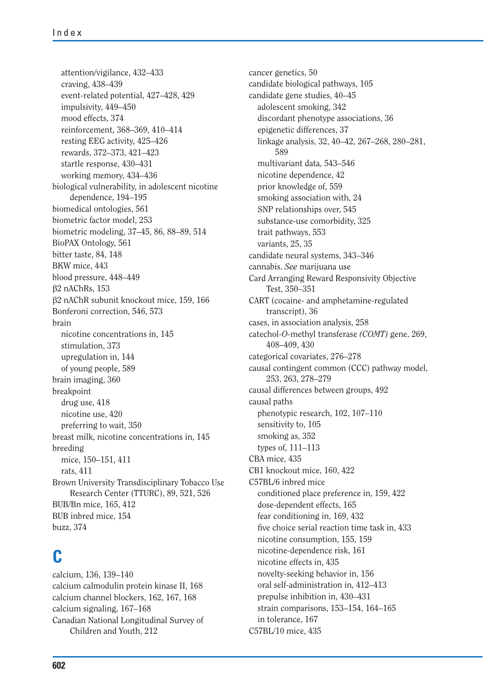attention/vigilance, 432–433 craving, 438–439 event-related potential, 427–428, 429 impulsivity, 449–450 mood effects, 374 reinforcement, 368–369, 410–414 resting EEG activity, 425–426 rewards, 372–373, 421–423 startle response, 430–431 working memory, 434–436 biological vulnerability, in adolescent nicotine dependence, 194–195 biomedical ontologies, 561 biometric factor model, 253 biometric modeling, 37–45, 86, 88–89, 514 BioPAX Ontology, 561 bitter taste, 84, 148 BKW mice, 443 blood pressure, 448–449  $\beta$ 2 nAChRs, 153 b2 nAChR subunit knockout mice, 159, 166 Bonferoni correction, 546, 573 brain nicotine concentrations in, 145 stimulation, 373 upregulation in, 144 of young people, 589 brain imaging, 360 breakpoint drug use, 418 nicotine use, 420 preferring to wait, 350 breast milk, nicotine concentrations in, 145 breeding mice, 150–151, 411 rats, 411 Brown University Transdisciplinary Tobacco Use Research Center (TTURC), 89, 521, 526 BUB/Bn mice, 165, 412 BUB inbred mice, 154 buzz, 374

### **C**

calcium, 136, 139–140 calcium calmodulin protein kinase II, 168 calcium channel blockers, 162, 167, 168 calcium signaling, 167–168 Canadian National Longitudinal Survey of Children and Youth, 212

cancer genetics, 50 candidate biological pathways, 105 candidate gene studies, 40–45 adolescent smoking, 342 discordant phenotype associations, 36 epigenetic differences, 37 linkage analysis, 32, 40–42, 267–268, 280–281, 589 multivariant data, 543–546 nicotine dependence, 42 prior knowledge of, 559 smoking association with, 24 SNP relationships over, 545 substance-use comorbidity, 325 trait pathways, 553 variants, 25, 35 candidate neural systems, 343–346 cannabis. *See* marijuana use Card Arranging Reward Responsivity Objective Test, 350–351 CART (cocaine- and amphetamine-regulated transcript), 36 cases, in association analysis, 258 catechol-*O-*methyl transferase *(COMT)* gene, 269, 408–409, 430 categorical covariates, 276–278 causal contingent common (CCC) pathway model, 253, 263, 278–279 causal differences between groups, 492 causal paths phenotypic research, 102, 107–110 sensitivity to, 105 smoking as, 352 types of, 111–113 CBA mice, 435 CB1 knockout mice, 160, 422 C57BL/6 inbred mice conditioned place preference in, 159, 422 dose-dependent effects, 165 fear conditioning in, 169, 432 five choice serial reaction time task in, 433 nicotine consumption, 155, 159 nicotine-dependence risk, 161 nicotine effects in, 435 novelty-seeking behavior in, 156 oral self-administration in, 412–413 prepulse inhibition in, 430–431 strain comparisons, 153–154, 164–165 in tolerance, 167 C57BL/10 mice, 435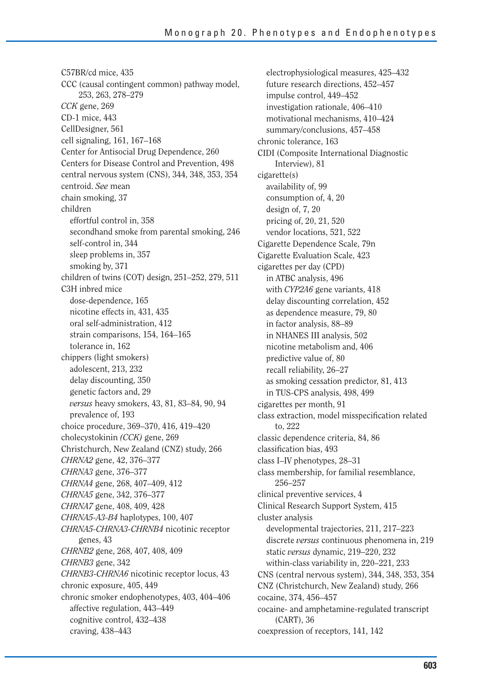C57BR/cd mice, 435 CCC (causal contingent common) pathway mod el, 253, 263, 278–279 *CCK* gene, 269 CD-1 mice, 443 CellDesigner, 561 cell signaling, 161, 167–168 Center for Antisocial Drug Dependence, 260 Centers for Disease Control and Prevention, 498 central nervous system (CNS), 344, 348, 353, 35 4 centroid. *See* mean chain smoking, 37 children effortful control in, 358 secondhand smoke from parental smoking, 2 46 self-control in, 344 sleep problems in, 357 smoking by, 371 children of twins (COT) design, 251–252, 279, 5 11 C3H inbred mice dose-dependence, 165 nicotine effects in, 431, 435 oral self-administration, 412 strain comparisons, 154, 164–165 tolerance in, 162 chippers (light smokers) adolescent, 213, 232 delay discounting, 350 genetic factors and, 29 *versus* heavy smokers, 43, 81, 83–84, 90, 94 prevalence of, 193 choice procedure, 369–370, 416, 419–420 cholecystokinin *(CCK)* gene, 269 Christchurch, New Zealand (CNZ) study, 266 *CHRNA2* gene, 42, 376–377 *CHRNA3* gene, 376–377 *CHRNA4* gene, 268, 407–409, 412 *CHRNA5* gene, 342, 376–377 *CHRNA7* gene, 408, 409, 428 *CHRNA5-A3-B4* haplotypes, 100, 407 *CHRNA5-CHRNA3-CHRNB4* nicotinic receptor genes, 43 *CHRNB2* gene, 268, 407, 408, 409 *CHRNB3* gene, 342 *CHRNB3-CHRNA6* nicotinic receptor locus, 43 chronic exposure, 405, 449 chronic smoker endophenotypes, 403, 404–406 affective regulation, 443–449 cognitive control, 432–438 craving, 438–443

electrophysiological measures, 425–432 future research directions, 452–457 impulse control, 449–452 investigation rationale, 406–410 motivational mechanisms, 410–424 summary/conclusions, 457–458 chronic tolerance, 163 CIDI (Composite International Diagnostic Interview), 81 cigarette(s) availability of, 99 consumption of, 4, 20 design of, 7, 20 pricing of, 20, 21, 520 vendor locations, 521, 522 Cigarette Dependence Scale, 79n Cigarette Evaluation Scale, 423 cigarettes per day (CPD) in ATBC analysis, 496 with *CYP2A6* gene variants, 418 delay discounting correlation, 452 as dependence measure, 79, 80 in factor analysis, 88–89 in NHANES III analysis, 502 nicotine metabolism and, 406 predictive value of, 80 recall reliability, 26–27 as smoking cessation predictor, 81, 413 in TUS-CPS analysis, 498, 499 cigarettes per month, 91 class extraction, model misspecification related to, 222 classic dependence criteria, 84, 86 classification bias, 493 class I–IV phenotypes, 28–31 class membership, for familial resemblance, 256–257 clinical preventive services, 4 Clinical Research Support System, 415 cluster analysis developmental trajectories, 211, 217–223 discrete *versus* continuous phenomena in, 219 static *versus* dynamic, 219–220, 232 within-class variability in, 220–221, 233 CNS (central nervous system), 344, 348, 353, 354 CNZ (Christchurch, New Zealand) study, 266 cocaine, 374, 456–457 cocaine- and amphetamine-regulated transcript (CART), 36 coexpression of receptors, 141, 142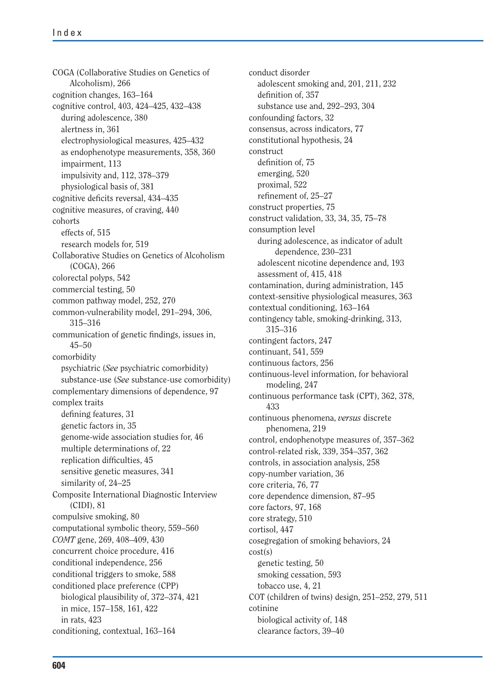COGA (Collaborative Studies on Genetics of Alcoholism), 266 cognition changes, 163–164 cognitive control, 403, 424–425, 432–438 during adolescence, 380 alertness in, 361 electrophysiological measures, 425–432 as endophenotype measurements, 358, 360 impairment, 113 impulsivity and, 112, 378–379 physiological basis of, 381 cognitive deficits reversal, 434–435 cognitive measures, of craving, 440 cohorts effects of, 515 research models for, 519 Collaborative Studies on Genetics of Alcoholism (COGA), 266 colorectal polyps, 542 commercial testing, 50 common pathway model, 252, 270 common-vulnerability model, 291–294, 306, 315–316 communication of genetic findings, issues in, 45–50 comorbidity psychiatric (*See* psychiatric comorbidity) substance-use (*See* substance-use comorbidity) complementary dimensions of dependence, 97 complex traits defining features, 31 genetic factors in, 35 genome-wide association studies for, 46 multiple determinations of, 22 replication difficulties, 45 sensitive genetic measures, 341 similarity of, 24–25 Composite International Diagnostic Interview (CIDI), 81 compulsive smoking, 80 computational symbolic theory, 559–560 *COMT* gene, 269, 408–409, 430 concurrent choice procedure, 416 conditional independence, 256 conditional triggers to smoke, 588 conditioned place preference (CPP) biological plausibility of, 372–374, 421 in mice, 157–158, 161, 422 in rats, 423 conditioning, contextual, 163–164

conduct disorder adolescent smoking and, 201, 211, 232 definition of, 357 substance use and, 292–293, 304 confounding factors, 32 consensus, across indicators, 77 constitutional hypothesis, 24 construct definition of, 75 emerging, 520 proximal, 522 refinement of, 25–27 construct properties, 75 construct validation, 33, 34, 35, 75–78 consumption level during adolescence, as indicator of adult dependence, 230–231 adolescent nicotine dependence and, 193 assessment of, 415, 418 contamination, during administration, 145 context-sensitive physiological measures, 363 contextual conditioning, 163–164 contingency table, smoking-drinking, 313, 315–316 contingent factors, 247 continuant, 541, 559 continuous factors, 256 continuous-level information, for behavioral modeling, 247 continuous performance task (CPT), 362, 378, 433 continuous phenomena, *versus* discrete phenomena, 219 control, endophenotype measures of, 357–362 control-related risk, 339, 354–357, 362 controls, in association analysis, 258 copy-number variation, 36 core criteria, 76, 77 core dependence dimension, 87–95 core factors, 97, 168 core strategy, 510 cortisol, 447 cosegregation of smoking behaviors, 24 cost(s) genetic testing, 50 smoking cessation, 593 tobacco use, 4, 21 COT (children of twins) design, 251–252, 279, 511 cotinine biological activity of, 148 clearance factors, 39–40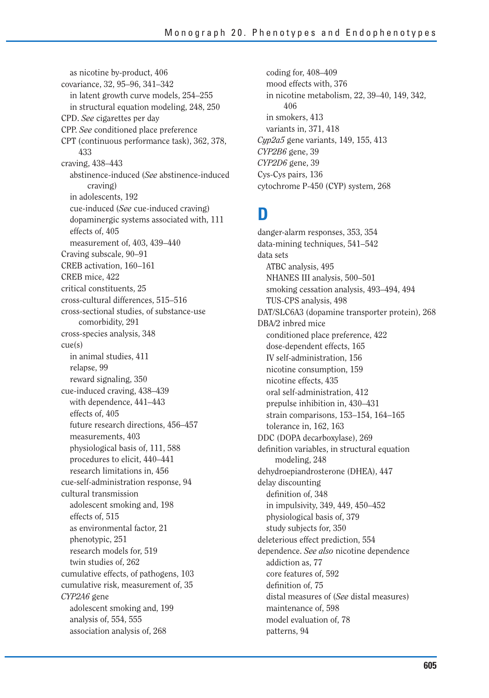as nicotine by-product, 406 covariance, 32, 95–96, 341–342 in latent growth curve models, 254–255 in structural equation modeling, 248, 250 CPD. *See* cigarettes per day CPP. *See* conditioned place preference CPT (continuous performance task), 362, 378, 433 craving, 438–443 abstinence-induced (*See* abstinence-induced craving) in adolescents, 192 cue-induced (*See* cue-induced craving) dopaminergic systems associated with, 111 effects of, 405 measurement of, 403, 439–440 Craving subscale, 90–91 CREB activation, 160–161 CREB mice, 422 critical constituents, 25 cross-cultural differences, 515–516 cross-sectional studies, of substance-use comorbidity, 291 cross-species analysis, 348 cue(s) in animal studies, 411 relapse, 99 reward signaling, 350 cue-induced craving, 438–439 with dependence, 441–443 effects of, 405 future research directions, 456–457 measurements, 403 physiological basis of, 111, 588 procedures to elicit, 440–441 research limitations in, 456 cue-self-administration response, 94 cultural transmission adolescent smoking and, 198 effects of, 515 as environmental factor, 21 phenotypic, 251 research models for, 519 twin studies of, 262 cumulative effects, of pathogens, 103 cumulative risk, measurement of, 35 *CYP2A6* gene adolescent smoking and, 199 analysis of, 554, 555 association analysis of, 268

coding for, 408–409 mood effects with, 376 in nicotine metabolism, 22, 39–40, 149, 342, 406 in smokers, 413 variants in, 371, 418 *Cyp2a5* gene variants, 149, 155, 413 *CYP2B6* gene, 39 *CYP2D6* gene, 39 Cys-Cys pairs, 136 cytochrome P-450 (CYP) system, 268

#### **D**

danger-alarm responses, 353, 354 data-mining techniques, 541–542 data sets ATBC analysis, 495 NHANES III analysis, 500–501 smoking cessation analysis, 493–494, 494 TUS-CPS analysis, 498 DAT/SLC6A3 (dopamine transporter protein), 268 DBA/2 inbred mice conditioned place preference, 422 dose-dependent effects, 165 IV self-administration, 156 nicotine consumption, 159 nicotine effects, 435 oral self-administration, 412 prepulse inhibition in, 430–431 strain comparisons, 153–154, 164–165 tolerance in, 162, 163 DDC (DOPA decarboxylase), 269 definition variables, in structural equation modeling, 248 dehydroepiandrosterone (DHEA), 447 delay discounting definition of, 348 in impulsivity, 349, 449, 450–452 physiological basis of, 379 study subjects for, 350 deleterious effect prediction, 554 dependence. *See also* nicotine dependence addiction as, 77 core features of, 592 definition of, 75 distal measures of (*See* distal measures) maintenance of, 598 model evaluation of, 78 patterns, 94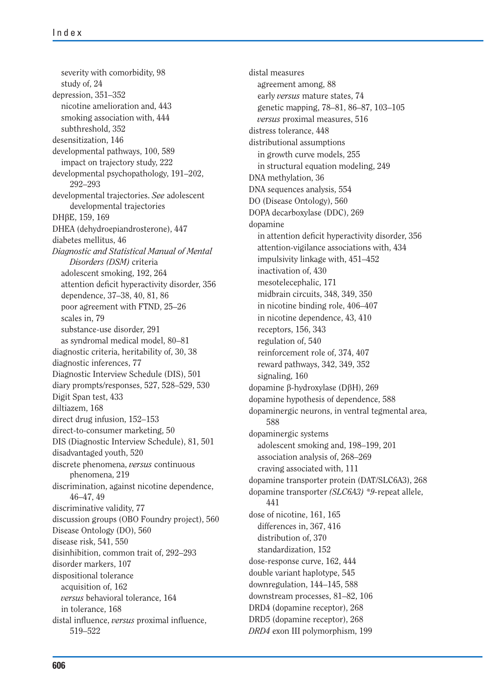severity with comorbidity, 98 study of, 24 depression, 351–352 nicotine amelioration and, 443 smoking association with, 444 subthreshold, 352 desensitization, 146 developmental pathways, 100, 589 impact on trajectory study, 222 developmental psychopathology, 191–202, 292–293 developmental trajectories. *See* adolescent developmental trajectories DH<sub>BE</sub>, 159, 169 DHEA (dehydroepiandrosterone), 447 diabetes mellitus, 46 *Diagnostic and Statistical Manual of Mental Disorders (DSM)* criteria adolescent smoking, 192, 264 attention deficit hyperactivity disorder, 356 dependence, 37–38, 40, 81, 86 poor agreement with FTND, 25–26 scales in, 79 substance-use disorder, 291 as syndromal medical model, 80–81 diagnostic criteria, heritability of, 30, 38 diagnostic inferences, 77 Diagnostic Interview Schedule (DIS), 501 diary prompts/responses, 527, 528–529, 530 Digit Span test, 433 diltiazem, 168 direct drug infusion, 152–153 direct-to-consumer marketing, 50 DIS (Diagnostic Interview Schedule), 81, 501 disadvantaged youth, 520 discrete phenomena, *versus* continuous phenomena, 219 discrimination, against nicotine dependence, 46–47, 49 discriminative validity, 77 discussion groups (OBO Foundry project), 560 Disease Ontology (DO), 560 disease risk, 541, 550 disinhibition, common trait of, 292–293 disorder markers, 107 dispositional tolerance acquisition of, 162 *versus* behavioral tolerance, 164 in tolerance, 168 distal influence, *versus* proximal influence, 519–522

distal measures agreement among, 88 early *versus* mature states, 74 genetic mapping, 78–81, 86–87, 103–105 *versus* proximal measures, 516 distress tolerance, 448 distributional assumptions in growth curve models, 255 in structural equation modeling, 249 DNA methylation, 36 DNA sequences analysis, 554 DO (Disease Ontology), 560 DOPA decarboxylase (DDC), 269 dopamine in attention deficit hyperactivity disorder, 356 attention-vigilance associations with, 434 impulsivity linkage with, 451–452 inactivation of, 430 mesotelecephalic, 171 midbrain circuits, 348, 349, 350 in nicotine binding role, 406–407 in nicotine dependence, 43, 410 receptors, 156, 343 regulation of, 540 reinforcement role of, 374, 407 reward pathways, 342, 349, 352 signaling, 160 dopamine β-hydroxylase (DβH), 269 dopamine hypothesis of dependence, 588 dopaminergic neurons, in ventral tegmental area, 588 dopaminergic systems adolescent smoking and, 198–199, 201 association analysis of, 268–269 craving associated with, 111 dopamine transporter protein (DAT/SLC6A3), 268 dopamine transporter *(SLC6A3) \*9-*repeat allele, 441 dose of nicotine, 161, 165 differences in, 367, 416 distribution of, 370 standardization, 152 dose-response curve, 162, 444 double variant haplotype, 545 downregulation, 144–145, 588 downstream processes, 81–82, 106 DRD4 (dopamine receptor), 268 DRD5 (dopamine receptor), 268 *DRD4* exon III polymorphism, 199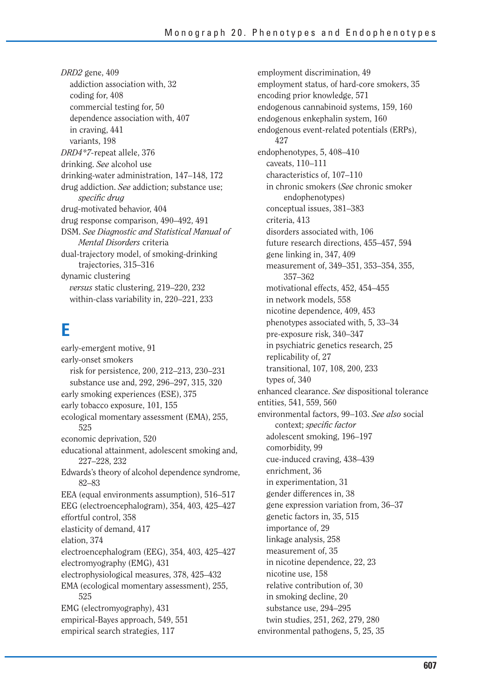*DRD2* gene, 409 addiction association with, 32 coding for, 408 commercial testing for, 50 dependence association with, 407 in craving, 441 variants, 198 *DRD4\*7-*repeat allele, 376 drinking. *See* alcohol use drinking-water administration, 147–148, 172 drug addiction. *See* addiction; substance use; *specific drug* drug-motivated behavior, 404 drug response comparison, 490–492, 491 DSM. *See Diagnostic and Statistical Manual of Mental Disorders* criteria dual-trajectory model, of smoking-drinking trajectories, 315–316 dynamic clustering *versus* static clustering, 219–220, 232 within-class variability in, 220–221, 233

### **E**

early-emergent motive, 91 early-onset smokers risk for persistence, 200, 212–213, 230–231 substance use and, 292, 296–297, 315, 320 early smoking experiences (ESE), 375 early tobacco exposure, 101, 155 ecological momentary assessment (EMA), 255, 525 economic deprivation, 520 educational attainment, adolescent smoking and, 227–228, 232 Edwards's theory of alcohol dependence syndrome, 82–83 EEA (equal environments assumption), 516–517 EEG (electroencephalogram), 354, 403, 425–427 effortful control, 358 elasticity of demand, 417 elation, 374 electroencephalogram (EEG), 354, 403, 425–427 electromyography (EMG), 431 electrophysiological measures, 378, 425–432 EMA (ecological momentary assessment), 255, 525 EMG (electromyography), 431 empirical-Bayes approach, 549, 551 empirical search strategies, 117

employment discrimination, 49 employment status, of hard-core smokers, 35 encoding prior knowledge, 571 endogenous cannabinoid systems, 159, 160 endogenous enkephalin system, 160 endogenous event-related potentials (ERPs), 427 endophenotypes, 5, 408–410 caveats, 110–111 characteristics of, 107–110 in chronic smokers (*See* chronic smoker endophenotypes) conceptual issues, 381–383 criteria, 413 disorders associated with, 106 future research directions, 455–457, 594 gene linking in, 347, 409 measurement of, 349–351, 353–354, 355, 357–362 motivational effects, 452, 454–455 in network models, 558 nicotine dependence, 409, 453 phenotypes associated with, 5, 33–34 pre-exposure risk, 340–347 in psychiatric genetics research, 25 replicability of, 27 transitional, 107, 108, 200, 233 types of, 340 enhanced clearance. *See* dispositional tolerance entities, 541, 559, 560 environmental factors, 99–103. *See also* social context; *specific factor* adolescent smoking, 196–197 comorbidity, 99 cue-induced craving, 438–439 enrichment, 36 in experimentation, 31 gender differences in, 38 gene expression variation from, 36–37 genetic factors in, 35, 515 importance of, 29 linkage analysis, 258 measurement of, 35 in nicotine dependence, 22, 23 nicotine use, 158 relative contribution of, 30 in smoking decline, 20 substance use, 294–295 twin studies, 251, 262, 279, 280 environmental pathogens, 5, 25, 35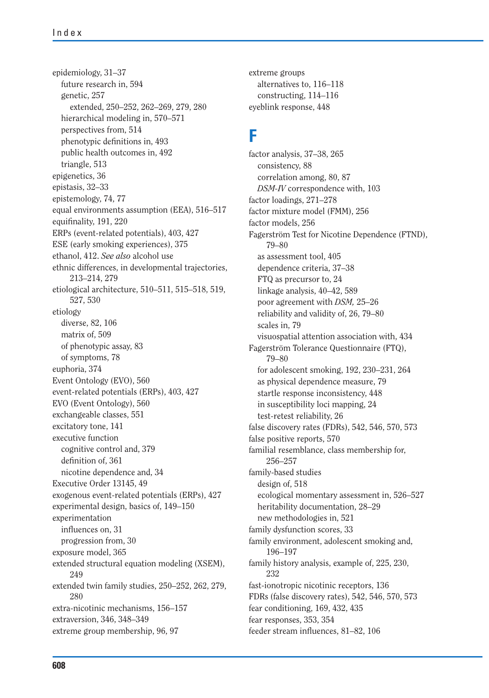epidemiology, 31–37 future research in, 594 genetic, 257 extended, 250–252, 262–269, 279, 280 hierarchical modeling in, 570–571 perspectives from, 514 phenotypic definitions in, 493 public health outcomes in, 492 triangle, 513 epigenetics, 36 epistasis, 32–33 epistemology, 74, 77 equal environments assumption (EEA), 516–517 equifinality, 191, 220 ERPs (event-related potentials), 403, 427 ESE (early smoking experiences), 375 ethanol, 412. *See also* alcohol use ethnic differences, in developmental trajectories, 213–214, 279 etiological architecture, 510–511, 515–518, 519, 527, 530 etiology diverse, 82, 106 matrix of, 509 of phenotypic assay, 83 of symptoms, 78 euphoria, 374 Event Ontology (EVO), 560 event-related potentials (ERPs), 403, 427 EVO (Event Ontology), 560 exchangeable classes, 551 excitatory tone, 141 executive function cognitive control and, 379 definition of, 361 nicotine dependence and, 34 Executive Order 13145, 49 exogenous event-related potentials (ERPs), 427 experimental design, basics of, 149–150 experimentation influences on, 31 progression from, 30 exposure model, 365 extended structural equation modeling (XSEM), 249 extended twin family studies, 250–252, 262, 279, 280 extra-nicotinic mechanisms, 156–157 extraversion, 346, 348–349 extreme group membership, 96, 97

extreme groups alternatives to, 116–118 constructing, 114–116 eyeblink response, 448

#### **F**

factor analysis, 37–38, 265 consistency, 88 correlation among, 80, 87 *DSM-IV* correspondence with, 103 factor loadings, 271–278 factor mixture model (FMM), 256 factor models, 256 Fagerström Test for Nicotine Dependence (FTND), 79–80 as assessment tool, 405 dependence criteria, 37–38 FTQ as precursor to, 24 linkage analysis, 40–42, 589 poor agreement with *DSM,* 25–26 reliability and validity of, 26, 79–80 scales in, 79 visuospatial attention association with, 434 Fagerström Tolerance Questionnaire (FTQ), 79–80 for adolescent smoking, 192, 230–231, 264 as physical dependence measure, 79 startle response inconsistency, 448 in susceptibility loci mapping, 24 test-retest reliability, 26 false discovery rates (FDRs), 542, 546, 570, 573 false positive reports, 570 familial resemblance, class membership for, 256–257 family-based studies design of, 518 ecological momentary assessment in, 526–527 heritability documentation, 28–29 new methodologies in, 521 family dysfunction scores, 33 family environment, adolescent smoking and, 196–197 family history analysis, example of, 225, 230, 232 fast-ionotropic nicotinic receptors, 136 FDRs (false discovery rates), 542, 546, 570, 573 fear conditioning, 169, 432, 435 fear responses, 353, 354 feeder stream influences, 81–82, 106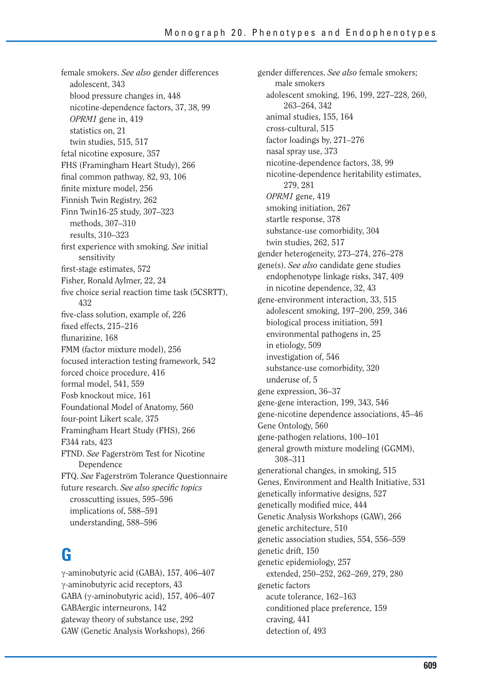female smokers. *See also* gender differences adolescent, 343 blood pressure changes in, 448 nicotine-dependence factors, 37, 38, 99 *OPRM1* gene in, 419 statistics on, 21 twin studies, 515, 517 fetal nicotine exposure, 357 FHS (Framingham Heart Study), 266 final common pathway, 82, 93, 106 finite mixture model, 256 Finnish Twin Registry, 262 Finn Twin16-25 study, 307–323 methods, 307–310 results, 310–323 first experience with smoking. *See* initial sensitivity first-stage estimates, 572 Fisher, Ronald Aylmer, 22, 24 five choice serial reaction time task (5CSRTT), 432 five-class solution, example of, 226 fixed effects, 215–216 flunarizine, 168 FMM (factor mixture model), 256 focused interaction testing framework, 542 forced choice procedure, 416 formal model, 541, 559 Fosb knockout mice, 161 Foundational Model of Anatomy, 560 four-point Likert scale, 375 Framingham Heart Study (FHS), 266 F344 rats, 423 FTND. *See* Fagerström Test for Nicotine Dependence FTQ. *See* Fagerström Tolerance Questionnaire future research. See also specific topics crosscutting issues, 595–596 implications of, 588–591 understanding, 588–596

# **G**

 $\gamma$ -aminobutyric acid (GABA), 157, 406–407  $\gamma$ -aminobutyric acid receptors, 43 GABA ( $\gamma$ -aminobutyric acid), 157, 406–407 GABAergic interneurons, 142 gateway theory of substance use, 292 GAW (Genetic Analysis Workshops), 266

gender differences. *See also* female smokers; male smokers adolescent smoking, 196, 199, 227–228, 260, 263–264, 342 animal studies, 155, 164 cross-cultural, 515 factor loadings by, 271–276 nasal spray use, 373 nicotine-dependence factors, 38, 99 nicotine-dependence heritability estimates, 279, 281 *OPRM1* gene, 419 smoking initiation, 267 startle response, 378 substance-use comorbidity, 304 twin studies, 262, 517 gender heterogeneity, 273–274, 276–278 gene(s). *See also* candidate gene studies endophenotype linkage risks, 347, 409 in nicotine dependence, 32, 43 gene-environment interaction, 33, 515 adolescent smoking, 197–200, 259, 346 biological process initiation, 591 environmental pathogens in, 25 in etiology, 509 investigation of, 546 substance-use comorbidity, 320 underuse of, 5 gene expression, 36–37 gene-gene interaction, 199, 343, 546 gene-nicotine dependence associations, 45–46 Gene Ontology, 560 gene-pathogen relations, 100–101 general growth mixture modeling (GGMM), 308–311 generational changes, in smoking, 515 Genes, Environment and Health Initiative, 531 genetically informative designs, 527 genetically modified mice, 444 Genetic Analysis Workshops (GAW), 266 genetic architecture, 510 genetic association studies, 554, 556–559 genetic drift, 150 genetic epidemiology, 257 extended, 250–252, 262–269, 279, 280 genetic factors acute tolerance, 162–163 conditioned place preference, 159 craving, 441 detection of, 493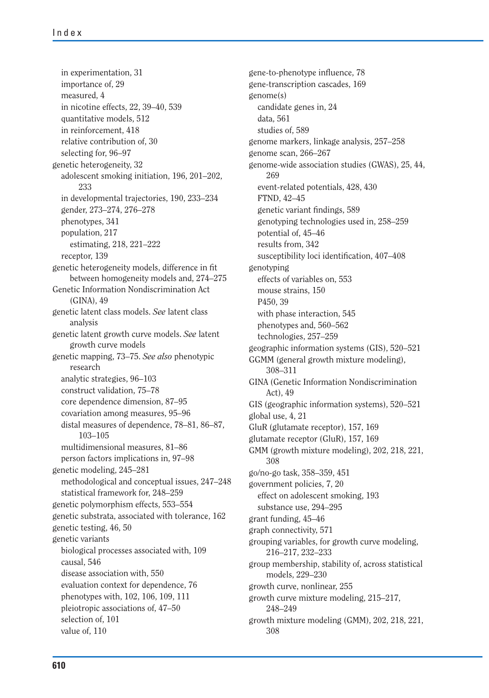in experimentation, 31 importance of, 29 measured, 4 in nicotine effects, 22, 39–40, 539 quantitative models, 512 in reinforcement, 418 relative contribution of, 30 selecting for, 96–97 genetic heterogeneity, 32 adolescent smoking initiation, 196, 201–202, 233 in developmental trajectories, 190, 233–234 gender, 273–274, 276–278 phenotypes, 341 population, 217 estimating, 218, 221–222 receptor, 139 genetic heterogeneity models, difference in fit between homogeneity models and, 274–275 Genetic Information Nondiscrimination Act (GINA), 49 genetic latent class models. *See* latent class analysis genetic latent growth curve models. *See* latent growth curve models genetic mapping, 73–75. *See also* phenotypic research analytic strategies, 96–103 construct validation, 75–78 core dependence dimension, 87–95 covariation among measures, 95–96 distal measures of dependence, 78–81, 86–87, 103–105 multidimensional measures, 81–86 person factors implications in, 97–98 genetic modeling, 245–281 methodological and conceptual issues, 247–248 statistical framework for, 248–259 genetic polymorphism effects, 553–554 genetic substrata, associated with tolerance, 162 genetic testing, 46, 50 genetic variants biological processes associated with, 109 causal, 546 disease association with, 550 evaluation context for dependence, 76 phenotypes with, 102, 106, 109, 111 pleiotropic associations of, 47–50 selection of, 101 value of, 110

gene-to-phenotype influence, 78 gene-transcription cascades, 169 genome(s) candidate genes in, 24 data, 561 studies of, 589 genome markers, linkage analysis, 257–258 genome scan, 266–267 genome-wide association studies (GWAS), 25, 44, 269 event-related potentials, 428, 430 FTND, 42–45 genetic variant findings, 589 genotyping technologies used in, 258–259 potential of, 45–46 results from, 342 susceptibility loci identification, 407-408 genotyping effects of variables on, 553 mouse strains, 150 P450, 39 with phase interaction, 545 phenotypes and, 560–562 technologies, 257–259 geographic information systems (GIS), 520–521 GGMM (general growth mixture modeling), 308–311 GINA (Genetic Information Nondiscrimination Act), 49 GIS (geographic information systems), 520–521 global use, 4, 21 GluR (glutamate receptor), 157, 169 glutamate receptor (GluR), 157, 169 GMM (growth mixture modeling), 202, 218, 221, 308 go/no-go task, 358–359, 451 government policies, 7, 20 effect on adolescent smoking, 193 substance use, 294–295 grant funding, 45–46 graph connectivity, 571 grouping variables, for growth curve modeling, 216–217, 232–233 group membership, stability of, across statistical models, 229–230 growth curve, nonlinear, 255 growth curve mixture modeling, 215–217, 248–249 growth mixture modeling (GMM), 202, 218, 221, 308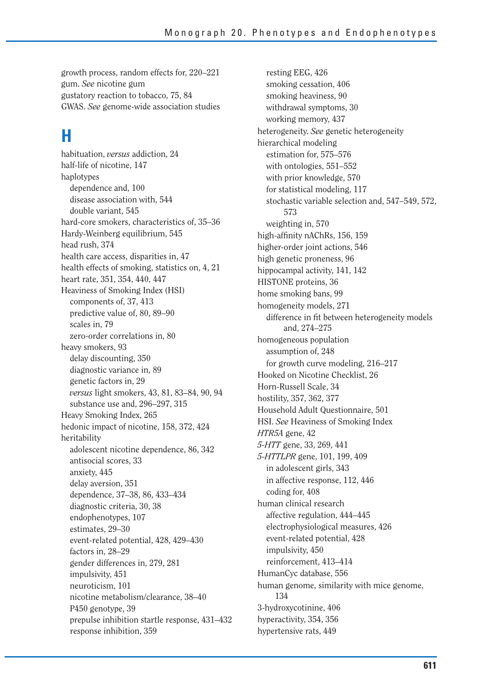growth process, random effects for, 220–221 gum. *See* nicotine gum gustatory reaction to tobacco, 75, 84 GWAS. *See* genome-wide association studies

# **H**

habituation, *versus* addiction, 24 half-life of nicotine, 147 haplotypes dependence and, 100 disease association with, 544 double variant, 545 hard-core smokers, characteristics of, 35–36 Hardy-Weinberg equilibrium, 545 head rush, 374 health care access, disparities in, 47 health effects of smoking, statistics on, 4, 21 heart rate, 351, 354, 440, 447 Heaviness of Smoking Index (HSI) components of, 37, 413 predictive value of, 80, 89–90 scales in, 79 zero-order correlations in, 80 heavy smokers, 93 delay discounting, 350 diagnostic variance in, 89 genetic factors in, 29 *versus* light smokers, 43, 81, 83–84, 90, 94 substance use and, 296–297, 315 Heavy Smoking Index, 265 hedonic impact of nicotine, 158, 372, 424 heritability adolescent nicotine dependence, 86, 342 antisocial scores, 33 anxiety, 445 delay aversion, 351 dependence, 37–38, 86, 433–434 diagnostic criteria, 30, 38 endophenotypes, 107 estimates, 29–30 event-related potential, 428, 429–430 factors in, 28–29 gender differences in, 279, 281 impulsivity, 451 neuroticism, 101 nicotine metabolism/clearance, 38–40 P450 genotype, 39 prepulse inhibition startle response, 431–432 response inhibition, 359

resting EEG, 426 smoking cessation, 406 smoking heaviness, 90 withdrawal symptoms, 30 working memory, 437 heterogeneity. *See* genetic heterogeneity hierarchical modeling estimation for, 575–576 with ontologies, 551–552 with prior knowledge, 570 for statistical modeling, 117 stochastic variable selection and, 547–549, 572, 573 weighting in, 570 high-affinity nAChRs, 156, 159 higher-order joint actions, 546 high genetic proneness, 96 hippocampal activity, 141, 142 HISTONE proteins, 36 home smoking bans, 99 homogeneity models, 271 difference in fit between heterogeneity models and, 274–275 homogeneous population assumption of, 248 for growth curve modeling, 216–217 Hooked on Nicotine Checklist, 26 Horn-Russell Scale, 34 hostility, 357, 362, 377 Household Adult Questionnaire, 501 HSI. *See* Heaviness of Smoking Index *HTR5A* gene, 42 *5-HTT* gene, 33, 269, 441 *5-HTTLPR* gene, 101, 199, 409 in adolescent girls, 343 in affective response, 112, 446 coding for, 408 human clinical research affective regulation, 444–445 electrophysiological measures, 426 event-related potential, 428 impulsivity, 450 reinforcement, 413–414 HumanCyc database, 556 human genome, similarity with mice genome, 134 3-hydroxycotinine, 406 hyperactivity, 354, 356 hypertensive rats, 449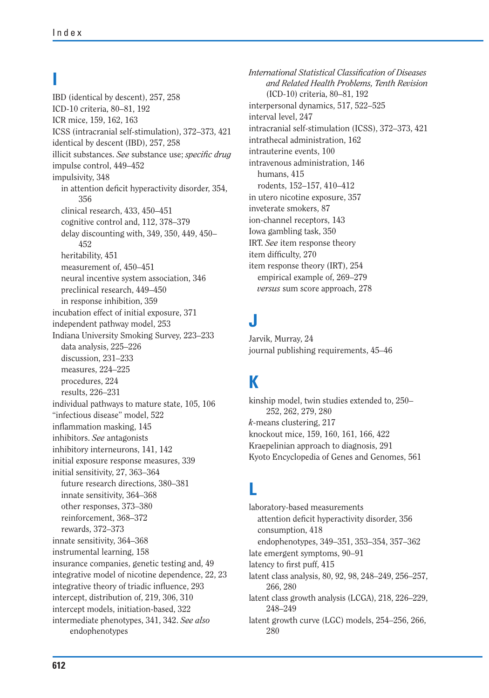#### **I**

IBD (identical by descent), 257, 258 ICD-10 criteria, 80–81, 192 ICR mice, 159, 162, 163 ICSS (intracranial self-stimulation), 372–373, 421 identical by descent (IBD), 257, 258 illicit substances. See substance use; *specific drug* impulse control, 449–452 impulsivity, 348 in attention deficit hyperactivity disorder, 354, 356 clinical research, 433, 450–451 cognitive control and, 112, 378–379 delay discounting with, 349, 350, 449, 450– 452 heritability, 451 measurement of, 450–451 neural incentive system association, 346 preclinical research, 449–450 in response inhibition, 359 incubation effect of initial exposure, 371 independent pathway model, 253 Indiana University Smoking Survey, 223–233 data analysis, 225–226 discussion, 231–233 measures, 224–225 procedures, 224 results, 226–231 individual pathways to mature state, 105, 106 "infectious disease" model, 522 inflammation masking, 145 inhibitors. *See* antagonists inhibitory interneurons, 141, 142 initial exposure response measures, 339 initial sensitivity, 27, 363–364 future research directions, 380–381 innate sensitivity, 364–368 other responses, 373–380 reinforcement, 368–372 rewards, 372–373 innate sensitivity, 364–368 instrumental learning, 158 insurance companies, genetic testing and, 49 integrative model of nicotine dependence, 22, 23 integrative theory of triadic influence, 293 intercept, distribution of, 219, 306, 310 intercept models, initiation-based, 322 intermediate phenotypes, 341, 342. *See also* endophenotypes

*International Statistical Classification of Diseases and Related Health Problems, Tenth Revision*  (ICD-10) criteria, 80–81, 192 interpersonal dynamics, 517, 522–525 interval level, 247 intracranial self-stimulation (ICSS), 372–373, 421 intrathecal administration, 162 intrauterine events, 100 intravenous administration, 146 humans, 415 rodents, 152–157, 410–412 in utero nicotine exposure, 357 inveterate smokers, 87 ion-channel receptors, 143 Iowa gambling task, 350 IRT. *See* item response theory item difficulty, 270 item response theory (IRT), 254 empirical example of, 269–279 *versus* sum score approach, 278

### **J**

Jarvik, Murray, 24 journal publishing requirements, 45–46

# **K**

kinship model, twin studies extended to, 250– 252, 262, 279, 280 *k-*means clustering, 217 knockout mice, 159, 160, 161, 166, 422 Kraepelinian approach to diagnosis, 291 Kyoto Encyclopedia of Genes and Genomes, 561

#### **L**

laboratory-based measurements attention deficit hyperactivity disorder, 356 consumption, 418 endophenotypes, 349–351, 353–354, 357–362 late emergent symptoms, 90–91 latency to first puff, 415 latent class analysis, 80, 92, 98, 248–249, 256–257, 266, 280 latent class growth analysis (LCGA), 218, 226–229, 248–249 latent growth curve (LGC) models, 254–256, 266, 280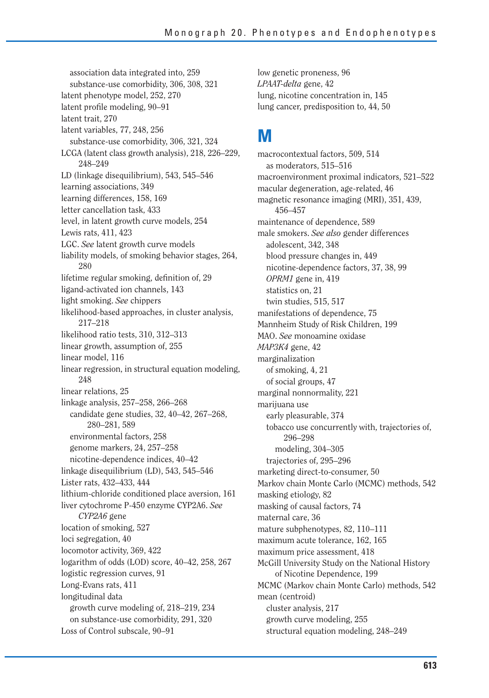association data integrated into, 259 substance-use comorbidity, 306, 308, 321 latent phenotype model, 252, 270 latent profile modeling, 90–91 latent trait, 270 latent variables, 77, 248, 256 substance-use comorbidity, 306, 321, 324 LCGA (latent class growth analysis), 218, 226–229, 248–249 LD (linkage disequilibrium), 543, 545–546 learning associations, 349 learning differences, 158, 169 letter cancellation task, 433 level, in latent growth curve models, 254 Lewis rats, 411, 423 LGC. *See* latent growth curve models liability models, of smoking behavior stages, 264, 280 lifetime regular smoking, definition of, 29 ligand-activated ion channels, 143 light smoking. *See* chippers likelihood-based approaches, in cluster analysis, 217–218 likelihood ratio tests, 310, 312–313 linear growth, assumption of, 255 linear model, 116 linear regression, in structural equation modeling, 248 linear relations, 25 linkage analysis, 257–258, 266–268 candidate gene studies, 32, 40–42, 267–268, 280–281, 589 environmental factors, 258 genome markers, 24, 257–258 nicotine-dependence indices, 40–42 linkage disequilibrium (LD), 543, 545–546 Lister rats, 432–433, 444 lithium-chloride conditioned place aversion, 161 liver cytochrome P-450 enzyme CYP2A6. *See CYP2A6* gene location of smoking, 527 loci segregation, 40 locomotor activity, 369, 422 logarithm of odds (LOD) score, 40–42, 258, 267 logistic regression curves, 91 Long-Evans rats, 411 longitudinal data growth curve modeling of, 218–219, 234 on substance-use comorbidity, 291, 320 Loss of Control subscale, 90–91

low genetic proneness, 96 *LPAAT-delta* gene, 42 lung, nicotine concentration in, 145 lung cancer, predisposition to, 44, 50

### **M**

macrocontextual factors, 509, 514 as moderators, 515–516 macroenvironment proximal indicators, 521–522 macular degeneration, age-related, 46 magnetic resonance imaging (MRI), 351, 439, 456–457 maintenance of dependence, 589 male smokers. *See also* gender differences adolescent, 342, 348 blood pressure changes in, 449 nicotine-dependence factors, 37, 38, 99 *OPRM1* gene in, 419 statistics on, 21 twin studies, 515, 517 manifestations of dependence, 75 Mannheim Study of Risk Children, 199 MAO. *See* monoamine oxidase *MAP3K4* gene, 42 marginalization of smoking, 4, 21 of social groups, 47 marginal nonnormality, 221 marijuana use early pleasurable, 374 tobacco use concurrently with, trajectories of, 296–298 modeling, 304–305 trajectories of, 295–296 marketing direct-to-consumer, 50 Markov chain Monte Carlo (MCMC) methods, 542 masking etiology, 82 masking of causal factors, 74 maternal care, 36 mature subphenotypes, 82, 110–111 maximum acute tolerance, 162, 165 maximum price assessment, 418 McGill University Study on the National History of Nicotine Dependence, 199 MCMC (Markov chain Monte Carlo) methods, 542 mean (centroid) cluster analysis, 217 growth curve modeling, 255 structural equation modeling, 248–249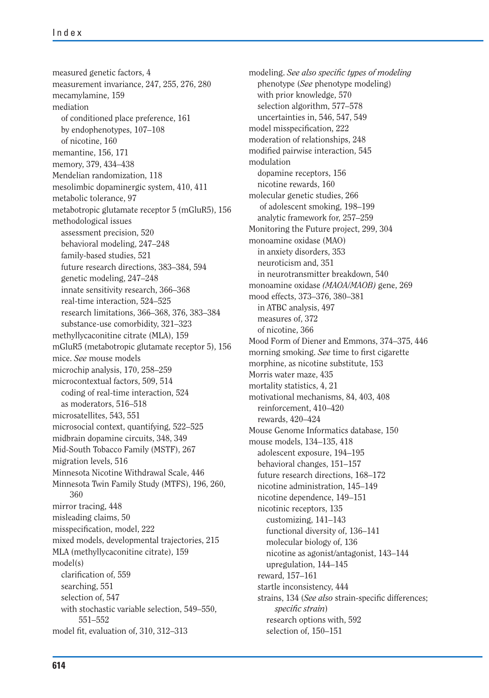measured genetic factors, 4 measurement invariance, 247, 255, 276, 280 mecamylamine, 159 mediation of conditioned place preference, 161 by endophenotypes, 107–108 of nicotine, 160 memantine, 156, 171 memory, 379, 434–438 Mendelian randomization, 118 mesolimbic dopaminergic system, 410, 411 metabolic tolerance, 97 metabotropic glutamate receptor 5 (mGluR5), 156 methodological issues assessment precision, 520 behavioral modeling, 247–248 family-based studies, 521 future research directions, 383–384, 594 genetic modeling, 247–248 innate sensitivity research, 366–368 real-time interaction, 524–525 research limitations, 366–368, 376, 383–384 substance-use comorbidity, 321–323 methyllycaconitine citrate (MLA), 159 mGluR5 (metabotropic glutamate receptor 5), 156 mice. *See* mouse models microchip analysis, 170, 258–259 microcontextual factors, 509, 514 coding of real-time interaction, 524 as moderators, 516–518 microsatellites, 543, 551 microsocial context, quantifying, 522–525 midbrain dopamine circuits, 348, 349 Mid-South Tobacco Family (MSTF), 267 migration levels, 516 Minnesota Nicotine Withdrawal Scale, 446 Minnesota Twin Family Study (MTFS), 196, 260, 360 mirror tracing, 448 misleading claims, 50 misspecification, model, 222 mixed models, developmental trajectories, 215 MLA (methyllycaconitine citrate), 159 model(s) clarification of, 559 searching, 551 selection of, 547 with stochastic variable selection, 549–550, 551–552 model fit, evaluation of, 310, 312–313

modeling. *See also specific types of modeling* phenotype (*See* phenotype modeling) with prior knowledge, 570 selection algorithm, 577–578 uncertainties in, 546, 547, 549 model misspecification, 222 moderation of relationships, 248 modified pairwise interaction, 545 modulation dopamine receptors, 156 nicotine rewards, 160 molecular genetic studies, 266 of adolescent smoking, 198–199 analytic framework for, 257–259 Monitoring the Future project, 299, 304 monoamine oxidase (MAO) in anxiety disorders, 353 neuroticism and, 351 in neurotransmitter breakdown, 540 monoamine oxidase *(MAOA/MAOB)* gene, 269 mood effects, 373–376, 380–381 in ATBC analysis, 497 measures of, 372 of nicotine, 366 Mood Form of Diener and Emmons, 374–375, 446 morning smoking. See time to first cigarette morphine, as nicotine substitute, 153 Morris water maze, 435 mortality statistics, 4, 21 motivational mechanisms, 84, 403, 408 reinforcement, 410–420 rewards, 420–424 Mouse Genome Informatics database, 150 mouse models, 134–135, 418 adolescent exposure, 194–195 behavioral changes, 151–157 future research directions, 168–172 nicotine administration, 145–149 nicotine dependence, 149–151 nicotinic receptors, 135 customizing, 141–143 functional diversity of, 136–141 molecular biology of, 136 nicotine as agonist/antagonist, 143–144 upregulation, 144–145 reward, 157–161 startle inconsistency, 444 strains, 134 (*See also* strain-specific differences; *specific strain*) research options with, 592 selection of, 150–151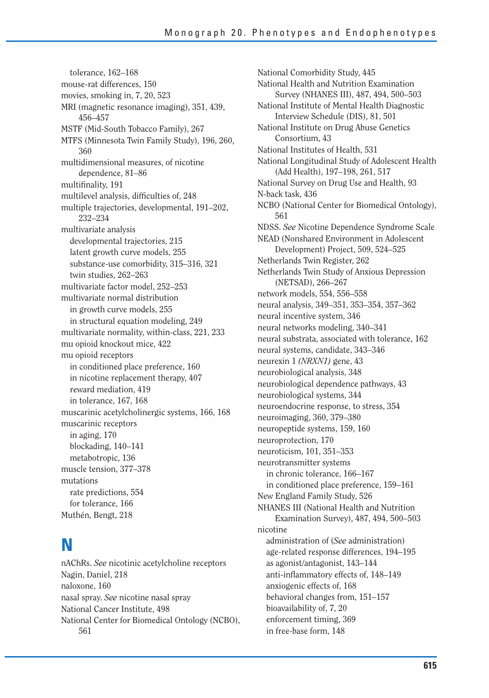tolerance, 162–168 mouse-rat differences, 150 movies, smoking in, 7, 20, 523 MRI (magnetic resonance imaging), 351, 439, 456–457 MSTF (Mid-South Tobacco Family), 267 MTFS (Minnesota Twin Family Study), 196, 260, 360 multidimensional measures, of nicotine dependence, 81–86 multifinality, 191 multilevel analysis, difficulties of, 248 multiple trajectories, developmental, 191–202, 232–234 multivariate analysis developmental trajectories, 215 latent growth curve models, 255 substance-use comorbidity, 315–316, 321 twin studies, 262–263 multivariate factor model, 252–253 multivariate normal distribution in growth curve models, 255 in structural equation modeling, 249 multivariate normality, within-class, 221, 233 mu opioid knockout mice, 422 mu opioid receptors in conditioned place preference, 160 in nicotine replacement therapy, 407 reward mediation, 419 in tolerance, 167, 168 muscarinic acetylcholinergic systems, 166, 168 muscarinic receptors in aging, 170 blockading, 140–141 metabotropic, 136 muscle tension, 377–378 mutations rate predictions, 554 for tolerance, 166 Muthén, Bengt, 218

#### **N**

nAChRs. *See* nicotinic acetylcholine receptors Nagin, Daniel, 218 naloxone, 160 nasal spray. *See* nicotine nasal spray National Cancer Institute, 498 National Center for Biomedical Ontology (NCBO), 561

National Comorbidity Study, 445 National Health and Nutrition Examination Survey (NHANES III), 487, 494, 500–503 National Institute of Mental Health Diagnostic Interview Schedule (DIS), 81, 501 National Institute on Drug Abuse Genetics Consortium, 43 National Institutes of Health, 531 National Longitudinal Study of Adolescent Health (Add Health), 197–198, 261, 517 National Survey on Drug Use and Health, 93 N-back task, 436 NCBO (National Center for Biomedical Ontology), 561 NDSS. *See* Nicotine Dependence Syndrome Scale NEAD (Nonshared Environment in Adolescent Development) Project, 509, 524–525 Netherlands Twin Register, 262 Netherlands Twin Study of Anxious Depression (NETSAD), 266–267 network models, 554, 556–558 neural analysis, 349–351, 353–354, 357–362 neural incentive system, 346 neural networks modeling, 340–341 neural substrata, associated with tolerance, 162 neural systems, candidate, 343–346 neurexin 1 *(NRXN1)* gene, 43 neurobiological analysis, 348 neurobiological dependence pathways, 43 neurobiological systems, 344 neuroendocrine response, to stress, 354 neuroimaging, 360, 379–380 neuropeptide systems, 159, 160 neuroprotection, 170 neuroticism, 101, 351–353 neurotransmitter systems in chronic tolerance, 166–167 in conditioned place preference, 159–161 New England Family Study, 526 NHANES III (National Health and Nutrition Examination Survey), 487, 494, 500–503 nicotine administration of (*See* administration) age-related response differences, 194–195 as agonist/antagonist, 143–144 anti-inflammatory effects of, 148–149 anxiogenic effects of, 168 behavioral changes from, 151–157 bioavailability of, 7, 20 enforcement timing, 369 in free-base form, 148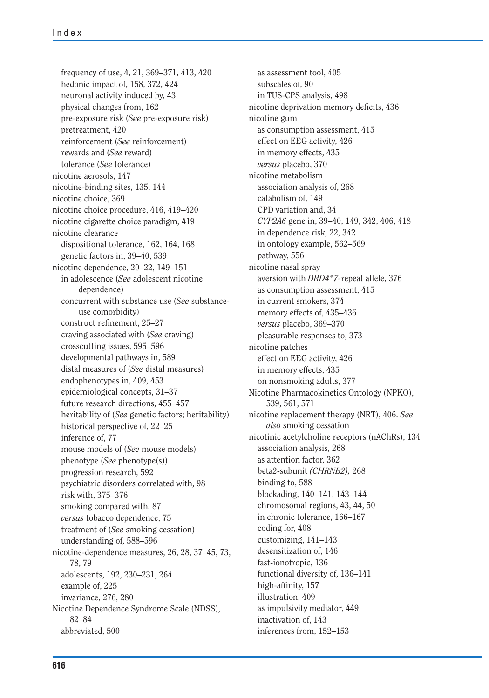frequency of use, 4, 21, 369–371, 413, 420 hedonic impact of, 158, 372, 424 neuronal activity induced by, 43 physical changes from, 162 pre-exposure risk (*See* pre-exposure risk) pretreatment, 420 reinforcement (*See* reinforcement) rewards and (*See* reward) tolerance (*See* tolerance) nicotine aerosols, 147 nicotine-binding sites, 135, 144 nicotine choice, 369 nicotine choice procedure, 416, 419–420 nicotine cigarette choice paradigm, 419 nicotine clearance dispositional tolerance, 162, 164, 168 genetic factors in, 39–40, 539 nicotine dependence, 20–22, 149–151 in adolescence (*See* adolescent nicotine dependence) concurrent with substance use (*See* substanceuse comorbidity) construct refinement, 25-27 craving associated with (*See* craving) crosscutting issues, 595–596 developmental pathways in, 589 distal measures of (*See* distal measures) endophenotypes in, 409, 453 epidemiological concepts, 31–37 future research directions, 455–457 heritability of (*See* genetic factors; heritability) historical perspective of, 22–25 inference of, 77 mouse models of (*See* mouse models) phenotype (*See* phenotype(s)) progression research, 592 psychiatric disorders correlated with, 98 risk with, 375–376 smoking compared with, 87 *versus* tobacco dependence, 75 treatment of (*See* smoking cessation) understanding of, 588–596 nicotine-dependence measures, 26, 28, 37–45, 73, 78, 79 adolescents, 192, 230–231, 264 example of, 225 invariance, 276, 280 Nicotine Dependence Syndrome Scale (NDSS), 82–84 abbreviated, 500

as assessment tool, 405 subscales of, 90 in TUS-CPS analysis, 498 nicotine deprivation memory deficits, 436 nicotine gum as consumption assessment, 415 effect on EEG activity, 426 in memory effects, 435 *versus* placebo, 370 nicotine metabolism association analysis of, 268 catabolism of, 149 CPD variation and, 34 *CYP2A6* gene in, 39–40, 149, 342, 406, 418 in dependence risk, 22, 342 in ontology example, 562–569 pathway, 556 nicotine nasal spray aversion with *DRD4\*7-*repeat allele, 376 as consumption assessment, 415 in current smokers, 374 memory effects of, 435–436 *versus* placebo, 369–370 pleasurable responses to, 373 nicotine patches effect on EEG activity, 426 in memory effects, 435 on nonsmoking adults, 377 Nicotine Pharmacokinetics Ontology (NPKO), 539, 561, 571 nicotine replacement therapy (NRT), 406. *See also* smoking cessation nicotinic acetylcholine receptors (nAChRs), 134 association analysis, 268 as attention factor, 362 beta2-subunit *(CHRNB2),* 268 binding to, 588 blockading, 140–141, 143–144 chromosomal regions, 43, 44, 50 in chronic tolerance, 166–167 coding for, 408 customizing, 141–143 desensitization of, 146 fast-ionotropic, 136 functional diversity of, 136–141 high-affinity, 157 illustration, 409 as impulsivity mediator, 449 inactivation of, 143 inferences from, 152–153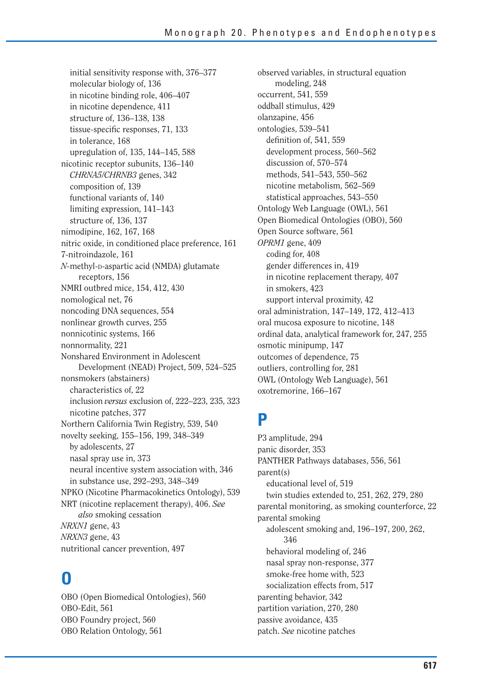initial sensitivity response with, 376–377 molecular biology of, 136 in nicotine binding role, 406–407 in nicotine dependence, 411 structure of, 136–138, 138 tissue-specific responses, 71, 133 in tolerance, 168 upregulation of, 135, 144–145, 588 nicotinic receptor subunits, 136–140 *CHRNA5/CHRNB3* genes, 342 composition of, 139 functional variants of, 140 limiting expression, 141–143 structure of, 136, 137 nimodipine, 162, 167, 168 nitric oxide, in conditioned place preference, 161 7-nitroindazole, 161 *N*-methyl-D-aspartic acid (NMDA) glutamate receptors, 156 NMRI outbred mice, 154, 412, 430 nomological net, 76 noncoding DNA sequences, 554 nonlinear growth curves, 255 nonnicotinic systems, 166 nonnormality, 221 Nonshared Environment in Adolescent Development (NEAD) Project, 509, 524–525 nonsmokers (abstainers) characteristics of, 22 inclusion *versus* exclusion of, 222–223, 235, 323 nicotine patches, 377 Northern California Twin Registry, 539, 540 novelty seeking, 155–156, 199, 348–349 by adolescents, 27 nasal spray use in, 373 neural incentive system association with, 346 in substance use, 292–293, 348–349 NPKO (Nicotine Pharmacokinetics Ontology), 539 NRT (nicotine replacement therapy), 406. *See also* smoking cessation *NRXN1* gene, 43 *NRXN3* gene, 43 nutritional cancer prevention, 497

### **O**

OBO (Open Biomedical Ontologies), 560 OBO-Edit, 561 OBO Foundry project, 560 OBO Relation Ontology, 561

observed variables, in structural equation modeling, 248 occurrent, 541, 559 oddball stimulus, 429 olanzapine, 456 ontologies, 539–541 definition of, 541, 559 development process, 560–562 discussion of, 570–574 methods, 541–543, 550–562 nicotine metabolism, 562–569 statistical approaches, 543–550 Ontology Web Language (OWL), 561 Open Biomedical Ontologies (OBO), 560 Open Source software, 561 *OPRM1* gene, 409 coding for, 408 gender differences in, 419 in nicotine replacement therapy, 407 in smokers, 423 support interval proximity, 42 oral administration, 147–149, 172, 412–413 oral mucosa exposure to nicotine, 148 ordinal data, analytical framework for, 247, 255 osmotic minipump, 147 outcomes of dependence, 75 outliers, controlling for, 281 OWL (Ontology Web Language), 561 oxotremorine, 166–167

#### **P**

P3 amplitude, 294 panic disorder, 353 PANTHER Pathways databases, 556, 561 parent(s) educational level of, 519 twin studies extended to, 251, 262, 279, 280 parental monitoring, as smoking counterforce, 22 parental smoking adolescent smoking and, 196–197, 200, 262, 346 behavioral modeling of, 246 nasal spray non-response, 377 smoke-free home with, 523 socialization effects from, 517 parenting behavior, 342 partition variation, 270, 280 passive avoidance, 435 patch. *See* nicotine patches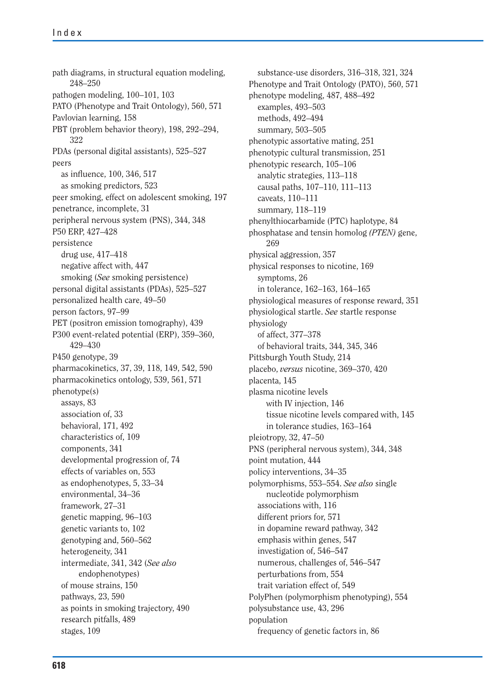path diagrams, in structural equation modeling, 248–250 pathogen modeling, 100–101, 103 PATO (Phenotype and Trait Ontology), 560, 571 Pavlovian learning, 158 PBT (problem behavior theory), 198, 292–294, 322 PDAs (personal digital assistants), 525–527 peers as influence, 100, 346, 517 as smoking predictors, 523 peer smoking, effect on adolescent smoking, 197 penetrance, incomplete, 31 peripheral nervous system (PNS), 344, 348 P50 ERP, 427–428 persistence drug use, 417–418 negative affect with, 447 smoking (*See* smoking persistence) personal digital assistants (PDAs), 525–527 personalized health care, 49–50 person factors, 97–99 PET (positron emission tomography), 439 P300 event-related potential (ERP), 359–360, 429–430 P450 genotype, 39 pharmacokinetics, 37, 39, 118, 149, 542, 590 pharmacokinetics ontology, 539, 561, 571 phenotype(s) assays, 83 association of, 33 behavioral, 171, 492 characteristics of, 109 components, 341 developmental progression of, 74 effects of variables on, 553 as endophenotypes, 5, 33–34 environmental, 34–36 framework, 27–31 genetic mapping, 96–103 genetic variants to, 102 genotyping and, 560–562 heterogeneity, 341 intermediate, 341, 342 (*See also* endophenotypes) of mouse strains, 150 pathways, 23, 590 as points in smoking trajectory, 490 research pitfalls, 489 stages, 109

substance-use disorders, 316–318, 321, 324 Phenotype and Trait Ontology (PATO), 560, 571 phenotype modeling, 487, 488–492 examples, 493–503 methods, 492–494 summary, 503–505 phenotypic assortative mating, 251 phenotypic cultural transmission, 251 phenotypic research, 105–106 analytic strategies, 113–118 causal paths, 107–110, 111–113 caveats, 110–111 summary, 118–119 phenylthiocarbamide (PTC) haplotype, 84 phosphatase and tensin homolog *(PTEN)* gene, 269 physical aggression, 357 physical responses to nicotine, 169 symptoms, 26 in tolerance, 162–163, 164–165 physiological measures of response reward, 351 physiological startle. *See* startle response physiology of affect, 377–378 of behavioral traits, 344, 345, 346 Pittsburgh Youth Study, 214 placebo, *versus* nicotine, 369–370, 420 placenta, 145 plasma nicotine levels with IV injection, 146 tissue nicotine levels compared with, 145 in tolerance studies, 163–164 pleiotropy, 32, 47–50 PNS (peripheral nervous system), 344, 348 point mutation, 444 policy interventions, 34–35 polymorphisms, 553–554. *See also* single nucleotide polymorphism associations with, 116 different priors for, 571 in dopamine reward pathway, 342 emphasis within genes, 547 investigation of, 546–547 numerous, challenges of, 546–547 perturbations from, 554 trait variation effect of, 549 PolyPhen (polymorphism phenotyping), 554 polysubstance use, 43, 296 population frequency of genetic factors in, 86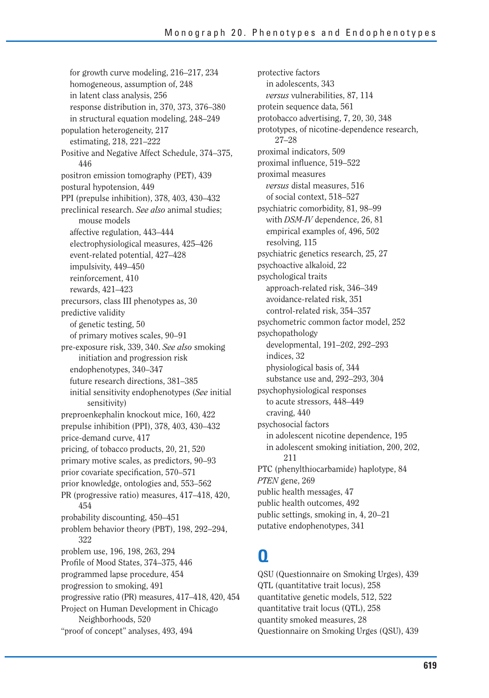for growth curve modeling, 216–217, 234 homogeneous, assumption of, 248 in latent class analysis, 256 response distribution in, 370, 373, 376–380 in structural equation modeling, 248–249 population heterogeneity, 217 estimating, 218, 221–222 Positive and Negative Affect Schedule, 374–375, 446 positron emission tomography (PET), 439 postural hypotension, 449 PPI (prepulse inhibition), 378, 403, 430–432 preclinical research. *See also* animal studies; mouse models affective regulation, 443–444 electrophysiological measures, 425–426 event-related potential, 427–428 impulsivity, 449–450 reinforcement, 410 rewards, 421–423 precursors, class III phenotypes as, 30 predictive validity of genetic testing, 50 of primary motives scales, 90–91 pre-exposure risk, 339, 340. *See also* smoking initiation and progression risk endophenotypes, 340–347 future research directions, 381–385 initial sensitivity endophenotypes (*See* initial sensitivity) preproenkephalin knockout mice, 160, 422 prepulse inhibition (PPI), 378, 403, 430–432 price-demand curve, 417 pricing, of tobacco products, 20, 21, 520 primary motive scales, as predictors, 90–93 prior covariate specification, 570–571 prior knowledge, ontologies and, 553–562 PR (progressive ratio) measures, 417–418, 420, 454 probability discounting, 450–451 problem behavior theory (PBT), 198, 292–294, 322 problem use, 196, 198, 263, 294 Profile of Mood States, 374–375, 446 programmed lapse procedure, 454 progression to smoking, 491 progressive ratio (PR) measures, 417–418, 420, 454 Project on Human Development in Chicago Neighborhoods, 520 "proof of concept" analyses, 493, 494

protective factors in adolescents, 343 *versus* vulnerabilities, 87, 114 protein sequence data, 561 protobacco advertising, 7, 20, 30, 348 prototypes, of nicotine-dependence research, 27–28 proximal indicators, 509 proximal influence, 519–522 proximal measures *versus* distal measures, 516 of social context, 518–527 psychiatric comorbidity, 81, 98–99 with *DSM-IV* dependence, 26, 81 empirical examples of, 496, 502 resolving, 115 psychiatric genetics research, 25, 27 psychoactive alkaloid, 22 psychological traits approach-related risk, 346–349 avoidance-related risk, 351 control-related risk, 354–357 psychometric common factor model, 252 psychopathology developmental, 191–202, 292–293 indices, 32 physiological basis of, 344 substance use and, 292–293, 304 psychophysiological responses to acute stressors, 448–449 craving, 440 psychosocial factors in adolescent nicotine dependence, 195 in adolescent smoking initiation, 200, 202, 211 PTC (phenylthiocarbamide) haplotype, 84 *PTEN* gene, 269 public health messages, 47 public health outcomes, 492 public settings, smoking in, 4, 20–21 putative endophenotypes, 341

### **Q**

QSU (Questionnaire on Smoking Urges), 439 QTL (quantitative trait locus), 258 quantitative genetic models, 512, 522 quantitative trait locus (QTL), 258 quantity smoked measures, 28 Questionnaire on Smoking Urges (QSU), 439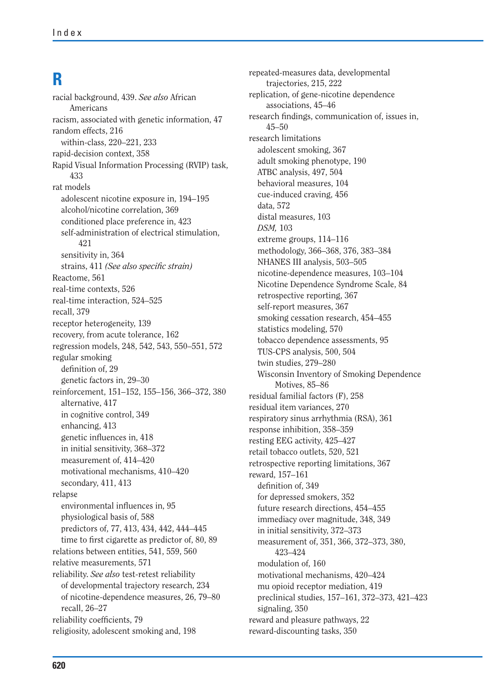# **R**

racial background, 439. *See also* African Americans racism, associated with genetic information, 47 random effects, 216 within-class, 220–221, 233 rapid-decision context, 358 Rapid Visual Information Processing (RVIP) task, 433 rat models adolescent nicotine exposure in, 194–195 alcohol/nicotine correlation, 369 conditioned place preference in, 423 self-administration of electrical stimulation, 421 sensitivity in, 364 strains, 411 (See also specific strain) Reactome, 561 real-time contexts, 526 real-time interaction, 524–525 recall, 379 receptor heterogeneity, 139 recovery, from acute tolerance, 162 regression models, 248, 542, 543, 550–551, 572 regular smoking definition of, 29 genetic factors in, 29–30 reinforcement, 151–152, 155–156, 366–372, 380 alternative, 417 in cognitive control, 349 enhancing, 413 genetic influences in, 418 in initial sensitivity, 368–372 measurement of, 414–420 motivational mechanisms, 410–420 secondary, 411, 413 relapse environmental influences in, 95 physiological basis of, 588 predictors of, 77, 413, 434, 442, 444–445 time to first cigarette as predictor of, 80, 89 relations between entities, 541, 559, 560 relative measurements, 571 reliability. *See also* test-retest reliability of developmental trajectory research, 234 of nicotine-dependence measures, 26, 79–80 recall, 26–27 reliability coefficients, 79 religiosity, adolescent smoking and, 198

repeated-measures data, developmental trajectories, 215, 222 replication, of gene-nicotine dependence associations, 45–46 research findings, communication of, issues in, 45–50 research limitations adolescent smoking, 367 adult smoking phenotype, 190 ATBC analysis, 497, 504 behavioral measures, 104 cue-induced craving, 456 data, 572 distal measures, 103 *DSM,* 103 extreme groups, 114–116 methodology, 366–368, 376, 383–384 NHANES III analysis, 503–505 nicotine-dependence measures, 103–104 Nicotine Dependence Syndrome Scale, 84 retrospective reporting, 367 self-report measures, 367 smoking cessation research, 454–455 statistics modeling, 570 tobacco dependence assessments, 95 TUS-CPS analysis, 500, 504 twin studies, 279–280 Wisconsin Inventory of Smoking Dependence Motives, 85–86 residual familial factors (F), 258 residual item variances, 270 respiratory sinus arrhythmia (RSA), 361 response inhibition, 358–359 resting EEG activity, 425–427 retail tobacco outlets, 520, 521 retrospective reporting limitations, 367 reward, 157–161 definition of, 349 for depressed smokers, 352 future research directions, 454–455 immediacy over magnitude, 348, 349 in initial sensitivity, 372–373 measurement of, 351, 366, 372–373, 380, 423–424 modulation of, 160 motivational mechanisms, 420–424 mu opioid receptor mediation, 419 preclinical studies, 157–161, 372–373, 421–423 signaling, 350 reward and pleasure pathways, 22 reward-discounting tasks, 350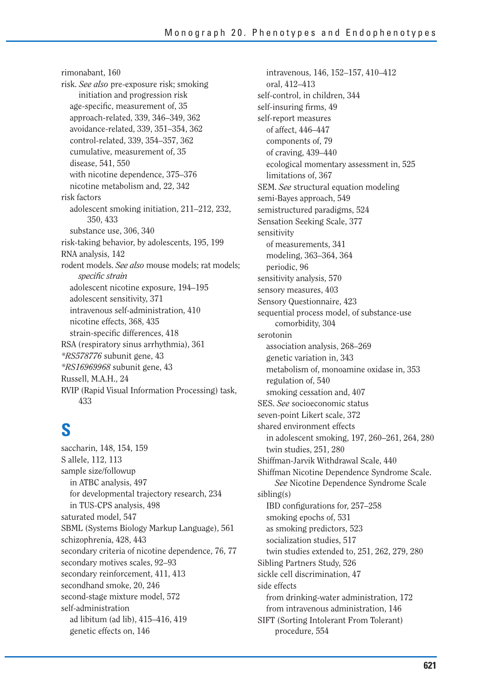rimonabant, 160 risk. *See also* pre-exposure risk; smoking initiation and progression risk age-specific, measurement of, 35 approach-related, 339, 346–349, 362 avoidance-related, 339, 351–354, 362 control-related, 339, 354–357, 362 cumulative, measurement of, 35 disease, 541, 550 with nicotine dependence, 375–376 nicotine metabolism and, 22, 342 risk factors adolescent smoking initiation, 211–212, 232, 350, 433 substance use, 306, 340 risk-taking behavior, by adolescents, 195, 199 RNA analysis, 142 rodent models. *See also* mouse models; rat models; *specific strain* adolescent nicotine exposure, 194–195 adolescent sensitivity, 371 intravenous self-administration, 410 nicotine effects, 368, 435 strain-specific differences, 418 RSA (respiratory sinus arrhythmia), 361 *\*RS578776* subunit gene, 43 *\*RS16969968* subunit gene, 43 Russell, M.A.H., 24 RVIP (Rapid Visual Information Processing) task, 433

# **S**

saccharin, 148, 154, 159 S allele, 112, 113 sample size/followup in ATBC analysis, 497 for developmental trajectory research, 234 in TUS-CPS analysis, 498 saturated model, 547 SBML (Systems Biology Markup Language), 561 schizophrenia, 428, 443 secondary criteria of nicotine dependence, 76, 77 secondary motives scales, 92–93 secondary reinforcement, 411, 413 secondhand smoke, 20, 246 second-stage mixture model, 572 self-administration ad libitum (ad lib), 415–416, 419 genetic effects on, 146

intravenous, 146, 152–157, 410–412 oral, 412–413 self-control, in children, 344 self-insuring firms, 49 self-report measures of affect, 446–447 components of, 79 of craving, 439–440 ecological momentary assessment in, 525 limitations of, 367 SEM. *See* structural equation modeling semi-Bayes approach, 549 semistructured paradigms, 524 Sensation Seeking Scale, 377 sensitivity of measurements, 341 modeling, 363–364, 364 periodic, 96 sensitivity analysis, 570 sensory measures, 403 Sensory Questionnaire, 423 sequential process model, of substance-use comorbidity, 304 serotonin association analysis, 268–269 genetic variation in, 343 metabolism of, monoamine oxidase in, 353 regulation of, 540 smoking cessation and, 407 SES. *See* socioeconomic status seven-point Likert scale, 372 shared environment effects in adolescent smoking, 197, 260–261, 264, 280 twin studies, 251, 280 Shiffman-Jarvik Withdrawal Scale, 440 Shiffman Nicotine Dependence Syndrome Scale. *See* Nicotine Dependence Syndrome Scale sibling(s) IBD configurations for, 257–258 smoking epochs of, 531 as smoking predictors, 523 socialization studies, 517 twin studies extended to, 251, 262, 279, 280 Sibling Partners Study, 526 sickle cell discrimination, 47 side effects from drinking-water administration, 172 from intravenous administration, 146 SIFT (Sorting Intolerant From Tolerant) procedure, 554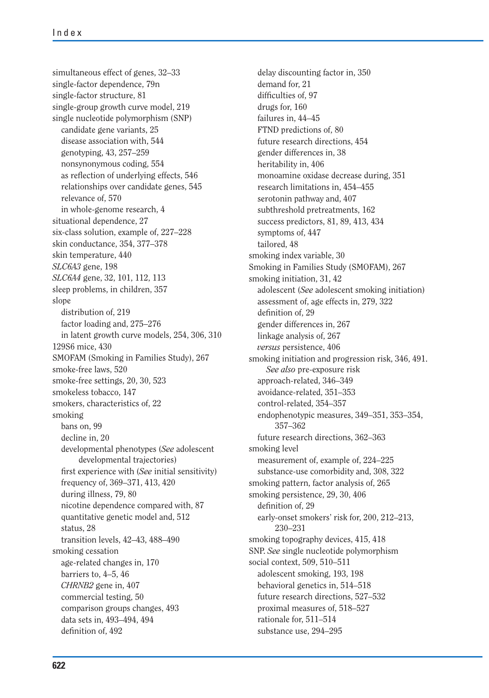simultaneous effect of genes, 32–33 single-factor dependence, 79n single-factor structure, 81 single-group growth curve model, 219 single nucleotide polymorphism (SNP) candidate gene variants, 25 disease association with, 544 genotyping, 43, 257–259 nonsynonymous coding, 554 as reflection of underlying effects, 546 relationships over candidate genes, 545 relevance of, 570 in whole-genome research, 4 situational dependence, 27 six-class solution, example of, 227–228 skin conductance, 354, 377–378 skin temperature, 440 *SLC6A3* gene, 198 *SLC6A4* gene, 32, 101, 112, 113 sleep problems, in children, 357 slope distribution of, 219 factor loading and, 275–276 in latent growth curve models, 254, 306, 310 129S6 mice, 430 SMOFAM (Smoking in Families Study), 267 smoke-free laws, 520 smoke-free settings, 20, 30, 523 smokeless tobacco, 147 smokers, characteristics of, 22 smoking bans on, 99 decline in, 20 developmental phenotypes (*See* adolescent developmental trajectories) first experience with (*See* initial sensitivity) frequency of, 369–371, 413, 420 during illness, 79, 80 nicotine dependence compared with, 87 quantitative genetic model and, 512 status, 28 transition levels, 42–43, 488–490 smoking cessation age-related changes in, 170 barriers to, 4–5, 46 *CHRNB2* gene in, 407 commercial testing, 50 comparison groups changes, 493 data sets in, 493–494, 494 definition of, 492

delay discounting factor in, 350 demand for, 21 difficulties of, 97 drugs for, 160 failures in, 44–45 FTND predictions of, 80 future research directions, 454 gender differences in, 38 heritability in, 406 monoamine oxidase decrease during, 351 research limitations in, 454–455 serotonin pathway and, 407 subthreshold pretreatments, 162 success predictors, 81, 89, 413, 434 symptoms of, 447 tailored, 48 smoking index variable, 30 Smoking in Families Study (SMOFAM), 267 smoking initiation, 31, 42 adolescent (*See* adolescent smoking initiation) assessment of, age effects in, 279, 322 definition of, 29 gender differences in, 267 linkage analysis of, 267 *versus* persistence, 406 smoking initiation and progression risk, 346, 491. *See also* pre-exposure risk approach-related, 346–349 avoidance-related, 351–353 control-related, 354–357 endophenotypic measures, 349–351, 353–354, 357–362 future research directions, 362–363 smoking level measurement of, example of, 224–225 substance-use comorbidity and, 308, 322 smoking pattern, factor analysis of, 265 smoking persistence, 29, 30, 406 definition of, 29 early-onset smokers' risk for, 200, 212–213, 230–231 smoking topography devices, 415, 418 SNP. *See* single nucleotide polymorphism social context, 509, 510–511 adolescent smoking, 193, 198 behavioral genetics in, 514–518 future research directions, 527–532 proximal measures of, 518–527 rationale for, 511–514 substance use, 294–295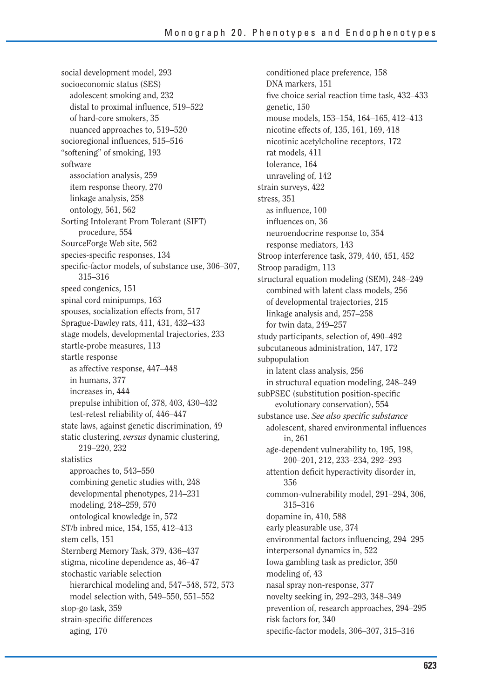social development model, 293 socioeconomic status (SES) adolescent smoking and, 232 distal to proximal influence,  $519-522$ of hard-core smokers, 35 nuanced approaches to, 519–520 socioregional influences, 515-516 "softening" of smoking, 193 software association analysis, 259 item response theory, 270 linkage analysis, 258 ontology, 561, 562 Sorting Intolerant From Tolerant (SIFT) procedure, 554 SourceForge Web site, 562 species-specific responses, 134 specific-factor models, of substance use, 306–307, 315–316 speed congenics, 151 spinal cord minipumps, 163 spouses, socialization effects from, 517 Sprague-Dawley rats, 411, 431, 432–433 stage models, developmental trajectories, 233 startle-probe measures, 113 startle response as affective response, 447–448 in humans, 377 increases in, 444 prepulse inhibition of, 378, 403, 430–432 test-retest reliability of, 446–447 state laws, against genetic discrimination, 49 static clustering, *versus* dynamic clustering, 219–220, 232 statistics approaches to, 543–550 combining genetic studies with, 248 developmental phenotypes, 214–231 modeling, 248–259, 570 ontological knowledge in, 572 ST/b inbred mice, 154, 155, 412–413 stem cells, 151 Sternberg Memory Task, 379, 436–437 stigma, nicotine dependence as, 46–47 stochastic variable selection hierarchical modeling and, 547–548, 572, 573 model selection with, 549–550, 551–552 stop-go task, 359 strain-specific differences aging, 170

conditioned place preference, 158 DNA markers, 151 five choice serial reaction time task, 432–433 genetic, 150 mouse models, 153–154, 164–165, 412–413 nicotine effects of, 135, 161, 169, 418 nicotinic acetylcholine receptors, 172 rat models, 411 tolerance, 164 unraveling of, 142 strain surveys, 422 stress, 351 as influence, 100 influences on, 36 neuroendocrine response to, 354 response mediators, 143 Stroop interference task, 379, 440, 451, 452 Stroop paradigm, 113 structural equation modeling (SEM), 248–249 combined with latent class models, 256 of developmental trajectories, 215 linkage analysis and, 257–258 for twin data, 249–257 study participants, selection of, 490–492 subcutaneous administration, 147, 172 subpopulation in latent class analysis, 256 in structural equation modeling, 248–249 subPSEC (substitution position-specific evolutionary conservation), 554 substance use. See also specific substance adolescent, shared environmental influences in, 261 age-dependent vulnerability to, 195, 198, 200–201, 212, 233–234, 292–293 attention deficit hyperactivity disorder in, 356 common-vulnerability model, 291–294, 306, 315–316 dopamine in, 410, 588 early pleasurable use, 374 environmental factors influencing, 294–295 interpersonal dynamics in, 522 Iowa gambling task as predictor, 350 modeling of, 43 nasal spray non-response, 377 novelty seeking in, 292–293, 348–349 prevention of, research approaches, 294–295 risk factors for, 340 specific-factor models, 306–307, 315–316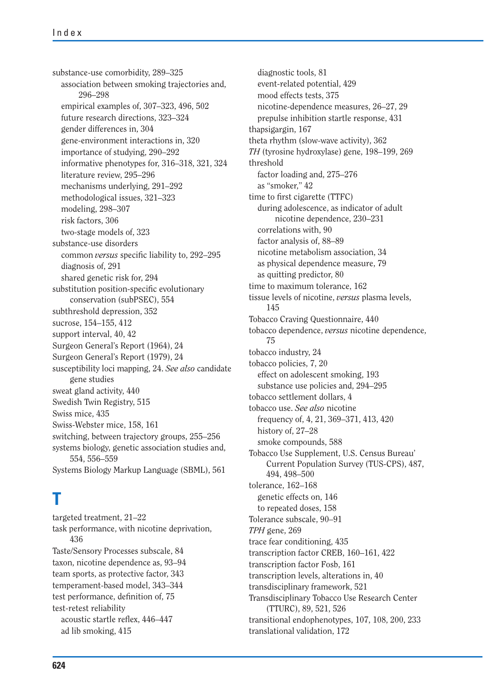substance-use comorbidity, 289–325 association between smoking trajectories and, 296–298 empirical examples of, 307–323, 496, 502 future research directions, 323–324 gender differences in, 304 gene-environment interactions in, 320 importance of studying, 290–292 informative phenotypes for, 316–318, 321, 324 literature review, 295–296 mechanisms underlying, 291–292 methodological issues, 321–323 modeling, 298–307 risk factors, 306 two-stage models of, 323 substance-use disorders common *versus* specific liability to, 292–295 diagnosis of, 291 shared genetic risk for, 294 substitution position-specific evolutionary conservation (subPSEC), 554 subthreshold depression, 352 sucrose, 154–155, 412 support interval, 40, 42 Surgeon General's Report (1964), 24 Surgeon General's Report (1979), 24 susceptibility loci mapping, 24. *See also* candidate gene studies sweat gland activity, 440 Swedish Twin Registry, 515 Swiss mice, 435 Swiss-Webster mice, 158, 161 switching, between trajectory groups, 255–256 systems biology, genetic association studies and, 554, 556–559 Systems Biology Markup Language (SBML), 561

# **T**

targeted treatment, 21–22 task performance, with nicotine deprivation, 436 Taste/Sensory Processes subscale, 84 taxon, nicotine dependence as, 93–94 team sports, as protective factor, 343 temperament-based model, 343–344 test performance, definition of, 75 test-retest reliability acoustic startle reflex, 446-447 ad lib smoking, 415

diagnostic tools, 81 event-related potential, 429 mood effects tests, 375 nicotine-dependence measures, 26–27, 29 prepulse inhibition startle response, 431 thapsigargin, 167 theta rhythm (slow-wave activity), 362 *TH* (tyrosine hydroxylase) gene, 198–199, 269 threshold factor loading and, 275–276 as "smoker," 42 time to first cigarette (TTFC) during adolescence, as indicator of adult nicotine dependence, 230–231 correlations with, 90 factor analysis of, 88–89 nicotine metabolism association, 34 as physical dependence measure, 79 as quitting predictor, 80 time to maximum tolerance, 162 tissue levels of nicotine, *versus* plasma levels, 145 Tobacco Craving Questionnaire, 440 tobacco dependence, *versus* nicotine dependence, 75 tobacco industry, 24 tobacco policies, 7, 20 effect on adolescent smoking, 193 substance use policies and, 294–295 tobacco settlement dollars, 4 tobacco use. *See also* nicotine frequency of, 4, 21, 369–371, 413, 420 history of, 27–28 smoke compounds, 588 Tobacco Use Supplement, U.S. Census Bureau' Current Population Survey (TUS-CPS), 487, 494, 498–500 tolerance, 162–168 genetic effects on, 146 to repeated doses, 158 Tolerance subscale, 90–91 *TPH* gene, 269 trace fear conditioning, 435 transcription factor CREB, 160–161, 422 transcription factor Fosb, 161 transcription levels, alterations in, 40 transdisciplinary framework, 521 Transdisciplinary Tobacco Use Research Center (TTURC), 89, 521, 526 transitional endophenotypes, 107, 108, 200, 233 translational validation, 172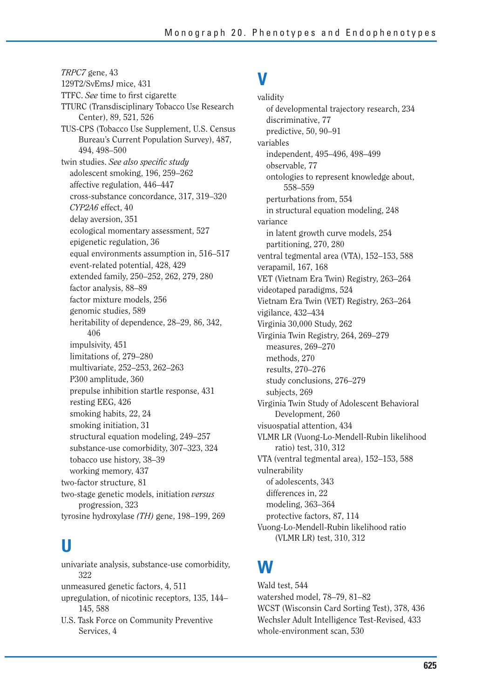*TRPC7* gene, 43 129T2/SvEmsJ mice, 431 TTFC. *See* time to first cigarette TTURC (Transdisciplinary Tobacco Use Research Center), 89, 521, 526 TUS-CPS (Tobacco Use Supplement, U.S. Census Bureau's Current Population Survey), 487, 494, 498–500 twin studies. See also specific study adolescent smoking, 196, 259–262 affective regulation, 446–447 cross-substance concordance, 317, 319–320 *CYP2A6* effect, 40 delay aversion, 351 ecological momentary assessment, 527 epigenetic regulation, 36 equal environments assumption in, 516–517 event-related potential, 428, 429 extended family, 250–252, 262, 279, 280 factor analysis, 88–89 factor mixture models, 256 genomic studies, 589 heritability of dependence, 28–29, 86, 342, 406 impulsivity, 451 limitations of, 279–280 multivariate, 252–253, 262–263 P300 amplitude, 360 prepulse inhibition startle response, 431 resting EEG, 426 smoking habits, 22, 24 smoking initiation, 31 structural equation modeling, 249–257 substance-use comorbidity, 307–323, 324 tobacco use history, 38–39 working memory, 437 two-factor structure, 81 two-stage genetic models, initiation *versus* progression, 323 tyrosine hydroxylase *(TH)* gene, 198–199, 269

# **U**

univariate analysis, substance-use comorbidity, 322 unmeasured genetic factors, 4, 511 upregulation, of nicotinic receptors, 135, 144– 145, 588 U.S. Task Force on Community Preventive Services, 4

### **V**

validity of developmental trajectory research, 234 discriminative, 77 predictive, 50, 90–91 variables independent, 495–496, 498–499 observable, 77 ontologies to represent knowledge about, 558–559 perturbations from, 554 in structural equation modeling, 248 variance in latent growth curve models, 254 partitioning, 270, 280 ventral tegmental area (VTA), 152–153, 588 verapamil, 167, 168 VET (Vietnam Era Twin) Registry, 263–264 videotaped paradigms, 524 Vietnam Era Twin (VET) Registry, 263–264 vigilance, 432–434 Virginia 30,000 Study, 262 Virginia Twin Registry, 264, 269–279 measures, 269–270 methods, 270 results, 270–276 study conclusions, 276–279 subjects, 269 Virginia Twin Study of Adolescent Behavioral Development, 260 visuospatial attention, 434 VLMR LR (Vuong-Lo-Mendell-Rubin likelihood ratio) test, 310, 312 VTA (ventral tegmental area), 152–153, 588 vulnerability of adolescents, 343 differences in, 22 modeling, 363–364 protective factors, 87, 114 Vuong-Lo-Mendell-Rubin likelihood ratio (VLMR LR) test, 310, 312

### **W**

Wald test, 544 watershed model, 78–79, 81–82 WCST (Wisconsin Card Sorting Test), 378, 436 Wechsler Adult Intelligence Test-Revised, 433 whole-environment scan, 530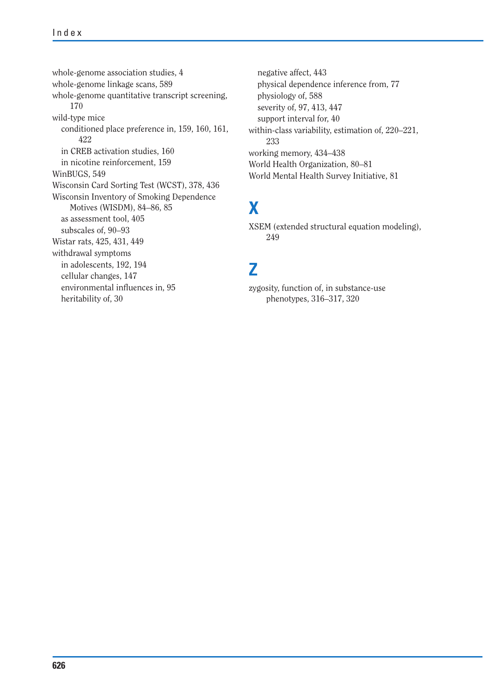whole-genome association studies, 4 whole-genome linkage scans, 589 whole-genome quantitative transcript screening, 170 wild-type mice conditioned place preference in, 159, 160, 161, 422 in CREB activation studies, 160 in nicotine reinforcement, 159 WinBUGS, 549 Wisconsin Card Sorting Test (WCST), 378, 436 Wisconsin Inventory of Smoking Dependence Motives (WISDM), 84–86, 85 as assessment tool, 405 subscales of, 90–93 Wistar rats, 425, 431, 449 withdrawal symptoms in adolescents, 192, 194 cellular changes, 147 environmental influences in, 95 heritability of, 30

negative affect, 443 physical dependence inference from, 77 physiology of, 588 severity of, 97, 413, 447 support interval for, 40 within-class variability, estimation of, 220–221, 233 working memory, 434–438 World Health Organization, 80–81 World Mental Health Survey Initiative, 81

# **X**

XSEM (extended structural equation modeling), 249

### **Z**

zygosity, function of, in substance-use phenotypes, 316–317, 320